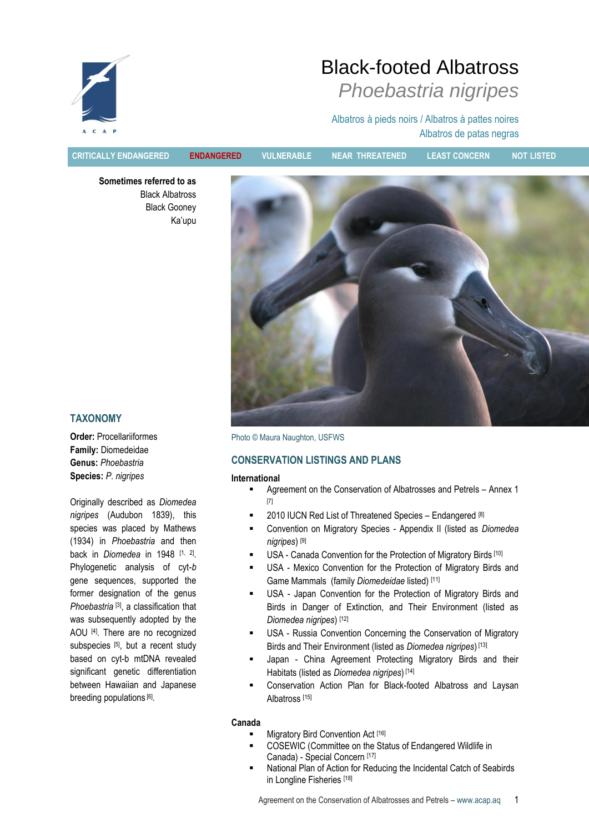

Albatros à pieds noirs / Albatros à pattes noires Albatros de patas negras

**CRITICALLY ENDANGERED ENDANGERED VULNERABLE NEAR THREATENED LEAST CONCERN NOT LISTED**

**Sometimes referred to as** Black Albatross Black Gooney Ka"upu



# **TAXONOMY**

**Order:** Procellariiformes **Family:** Diomedeidae **Genus:** *Phoebastria* **Species:** *P*. *nigripes*

Originally described as *Diomedea nigripes* (Audubon 1839), this species was placed by Mathews (1934) in *Phoebastria* and then back in *Diomedea* in 1948 [1, 2]. Phylogenetic analysis of cyt-*b* gene sequences, supported the former designation of the genus *Phoebastria* [3], a classification that was subsequently adopted by the AOU <a>[4]</a>. There are no recognized subspecies [5], but a recent study based on cyt-b mtDNA revealed significant genetic differentiation between Hawaiian and Japanese breeding populations [6].

Photo © Maura Naughton, USFWS

# **CONSERVATION LISTINGS AND PLANS**

#### **International**

- Agreement on the Conservation of Albatrosses and Petrels Annex 1 [7]
- $\blacksquare$  2010 IUCN Red List of Threatened Species Endangered [8]
- Convention on Migratory Species Appendix II (listed as *Diomedea nigripes*) [9]
- USA Canada Convention for the Protection of Migratory Birds [10]
- USA Mexico Convention for the Protection of Migratory Birds and Game Mammals (family *Diomedeidae* listed) [11]
- USA Japan Convention for the Protection of Migratory Birds and Birds in Danger of Extinction, and Their Environment (listed as *Diomedea nigripes*) [12]
- USA Russia Convention Concerning the Conservation of Migratory Birds and Their Environment (listed as *Diomedea nigripes*) [13]
- Japan China Agreement Protecting Migratory Birds and their Habitats (listed as *Diomedea nigripes*) [14]
- Conservation Action Plan for Black-footed Albatross and Laysan Albatross [15]

#### **Canada**

- Migratory Bird Convention Act [16]
- COSEWIC (Committee on the Status of Endangered Wildlife in Canada) - Special Concern [17]
- National Plan of Action for Reducing the Incidental Catch of Seabirds in Longline Fisheries [18]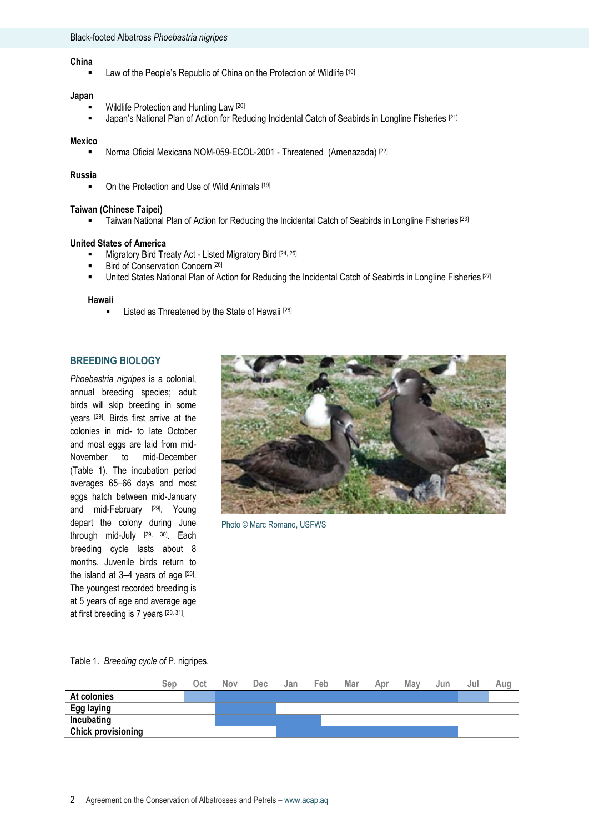### **China**

Law of the People's Republic of China on the Protection of Wildlife [19]

#### **Japan**

- Wildlife Protection and Hunting Law [20]
- **Japan's National Plan of Action for Reducing Incidental Catch of Seabirds in Longline Fisheries** [21]

#### **Mexico**

■ Norma Oficial Mexicana NOM-059-ECOL-2001 - Threatened (Amenazada)<sup>[22]</sup>

#### **Russia**

On the Protection and Use of Wild Animals [19]

#### **Taiwan (Chinese Taipei)**

**Taiwan National Plan of Action for Reducing the Incidental Catch of Seabirds in Longline Fisheries** [23]

#### **United States of America**

- **Migratory Bird Treaty Act Listed Migratory Bird [24, 25]**
- Bird of Conservation Concern<sup>[26]</sup>
- United States National Plan of Action for Reducing the Incidental Catch of Seabirds in Longline Fisheries [27]

#### **Hawaii**

**Example 2** Listed as Threatened by the State of Hawaii [28]

#### **BREEDING BIOLOGY**

*Phoebastria nigripes* is a colonial, annual breeding species; adult birds will skip breeding in some years [29]. Birds first arrive at the colonies in mid- to late October and most eggs are laid from mid-November to mid-December (Table 1). The incubation period averages 65–66 days and most eggs hatch between mid-January and mid-February [29]. Young depart the colony during June through mid-July [29, 30]. Each breeding cycle lasts about 8 months. Juvenile birds return to the island at  $3-4$  years of age  $[29]$ . The youngest recorded breeding is at 5 years of age and average age at first breeding is 7 years [29, 31].



Photo © Marc Romano, USFWS

# Table 1. *Breeding cycle of* P. nigripes.

|                           | Sep | Oct | Nov | <b>Dec</b> | Jan | Feb | Mar | Apr | May | Jun | Jul | Aug |
|---------------------------|-----|-----|-----|------------|-----|-----|-----|-----|-----|-----|-----|-----|
| At colonies               |     |     |     |            |     |     |     |     |     |     |     |     |
| Egg laying                |     |     |     |            |     |     |     |     |     |     |     |     |
| Incubating                |     |     |     |            |     |     |     |     |     |     |     |     |
| <b>Chick provisioning</b> |     |     |     |            |     |     |     |     |     |     |     |     |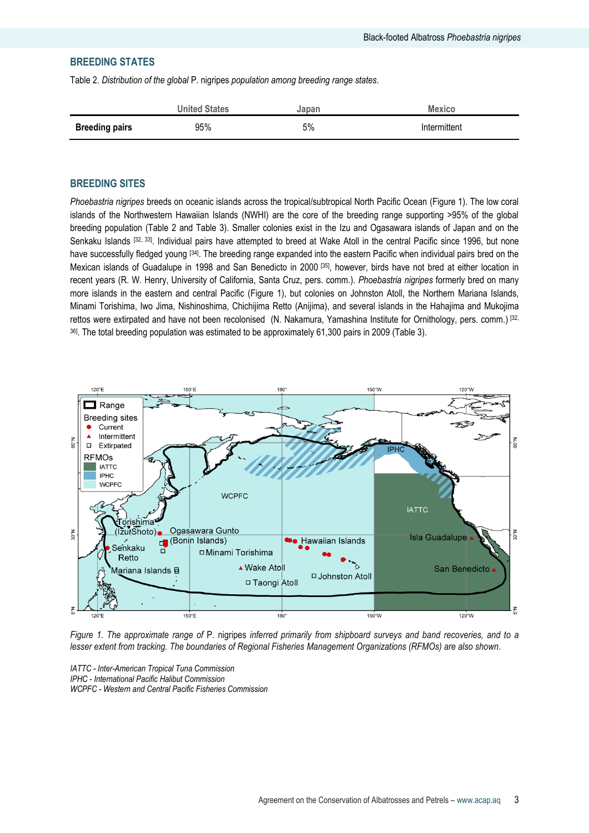# **BREEDING STATES**

Table 2. *Distribution of the global* P. nigripes *population among breeding range states*.

|                       | <b>United States</b> | Japan | <b>Mexico</b> |
|-----------------------|----------------------|-------|---------------|
| <b>Breeding pairs</b> | 95%                  | 5%    | Intermittent  |

# **BREEDING SITES**

*Phoebastria nigripes* breeds on oceanic islands across the tropical/subtropical North Pacific Ocean (Figure 1). The low coral islands of the Northwestern Hawaiian Islands (NWHI) are the core of the breeding range supporting >95% of the global breeding population (Table 2 and Table 3). Smaller colonies exist in the Izu and Ogasawara islands of Japan and on the Senkaku Islands <sup>[32, 33]</sup>. Individual pairs have attempted to breed at Wake Atoll in the central Pacific since 1996, but none have successfully fledged young [34]. The breeding range expanded into the eastern Pacific when individual pairs bred on the Mexican islands of Guadalupe in 1998 and San Benedicto in 2000<sup>[35]</sup>, however, birds have not bred at either location in recent years (R. W. Henry, University of California, Santa Cruz, pers. comm.). *Phoebastria nigripes* formerly bred on many more islands in the eastern and central Pacific (Figure 1), but colonies on Johnston Atoll, the Northern Mariana Islands, Minami Torishima, Iwo Jima, Nishinoshima, Chichijima Retto (Anijima), and several islands in the Hahajima and Mukojima rettos were extirpated and have not been recolonised (N. Nakamura, Yamashina Institute for Ornithology, pers. comm.) [32, <sup>36]</sup>. The total breeding population was estimated to be approximately 61,300 pairs in 2009 (Table 3).



*Figure 1. The approximate range of* P. nigripes *inferred primarily from shipboard surveys and band recoveries, and to a lesser extent from tracking. The boundaries of Regional Fisheries Management Organizations (RFMOs) are also shown.*

*IATTC - Inter-American Tropical Tuna Commission IPHC - International Pacific Halibut Commission WCPFC - Western and Central Pacific Fisheries Commission*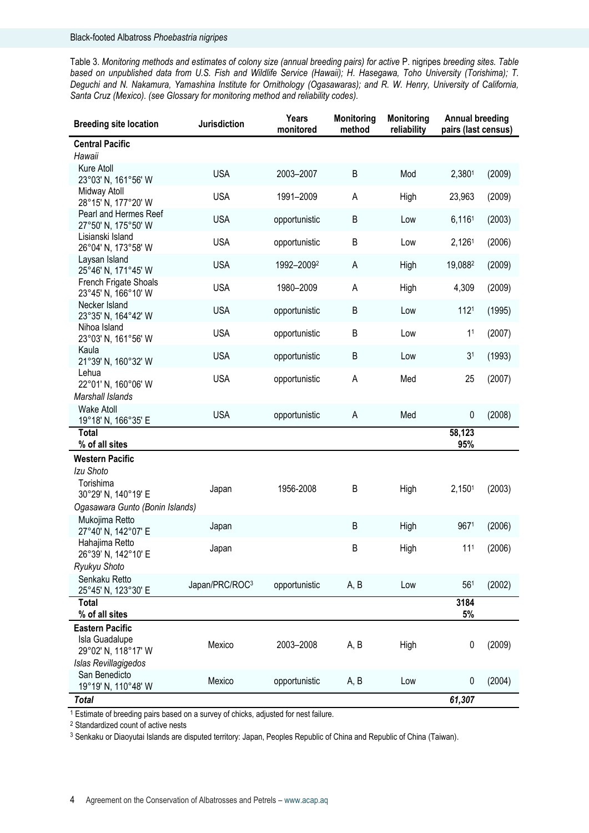Table 3. *Monitoring methods and estimates of colony size (annual breeding pairs) for active* P. nigripes *breeding sites. Table based on unpublished data from U.S. Fish and Wildlife Service (Hawaii); H. Hasegawa, Toho University (Torishima); T. Deguchi and N. Nakamura, Yamashina Institute for Ornithology (Ogasawaras); and R. W. Henry, University of California, Santa Cruz (Mexico). (see Glossary for monitoring method and reliability codes).*

| <b>Breeding site location</b>                                | Jurisdiction   | Years<br>monitored | <b>Monitoring</b><br>method | <b>Monitoring</b><br>reliability | <b>Annual breeding</b><br>pairs (last census) |        |
|--------------------------------------------------------------|----------------|--------------------|-----------------------------|----------------------------------|-----------------------------------------------|--------|
| <b>Central Pacific</b><br>Hawaii                             |                |                    |                             |                                  |                                               |        |
| Kure Atoll<br>23°03' N, 161°56' W                            | <b>USA</b>     | 2003-2007          | B                           | Mod                              | 2,3801                                        | (2009) |
| Midway Atoll<br>28°15' N, 177°20' W                          | <b>USA</b>     | 1991-2009          | A                           | High                             | 23,963                                        | (2009) |
| Pearl and Hermes Reef<br>27°50' N, 175°50' W                 | <b>USA</b>     | opportunistic      | B                           | Low                              | 6,1161                                        | (2003) |
| Lisianski Island<br>26°04' N, 173°58' W                      | <b>USA</b>     | opportunistic      | $\sf B$                     | Low                              | 2,1261                                        | (2006) |
| Laysan Island<br>25°46' N, 171°45' W                         | <b>USA</b>     | 1992-20092         | $\sf A$                     | High                             | 19,0882                                       | (2009) |
| French Frigate Shoals<br>23°45' N, 166°10' W                 | <b>USA</b>     | 1980-2009          | A                           | High                             | 4,309                                         | (2009) |
| Necker Island<br>23°35' N, 164°42' W                         | <b>USA</b>     | opportunistic      | B                           | Low                              | 1121                                          | (1995) |
| Nihoa Island<br>23°03' N, 161°56' W                          | <b>USA</b>     | opportunistic      | B                           | Low                              | 1 <sup>1</sup>                                | (2007) |
| Kaula<br>21°39' N, 160°32' W                                 | <b>USA</b>     | opportunistic      | B                           | Low                              | 3 <sup>1</sup>                                | (1993) |
| Lehua<br>22°01' N, 160°06' W                                 | <b>USA</b>     | opportunistic      | A                           | Med                              | 25                                            | (2007) |
| Marshall Islands<br><b>Wake Atoll</b>                        | <b>USA</b>     | opportunistic      | Α                           | Med                              | 0                                             | (2008) |
| 19°18' N, 166°35' E<br><b>Total</b>                          |                |                    |                             |                                  | 58,123                                        |        |
| % of all sites                                               |                |                    |                             |                                  | 95%                                           |        |
| Western Pacific<br>Izu Shoto                                 |                |                    |                             |                                  |                                               |        |
| Torishima<br>30°29' N, 140°19' E                             | Japan          | 1956-2008          | B                           | High                             | 2,1501                                        | (2003) |
| Ogasawara Gunto (Bonin Islands)                              |                |                    |                             |                                  |                                               |        |
| Mukojima Retto<br>27°40' N, 142°07' E                        | Japan          |                    | B                           | High                             | 9671                                          | (2006) |
| Hahajima Retto<br>26°39' N, 142°10' E                        | Japan          |                    | B                           | High                             | 11 <sup>1</sup>                               | (2006) |
| Ryukyu Shoto                                                 |                |                    |                             |                                  |                                               |        |
| Senkaku Retto<br>25°45' N, 123°30' E                         | Japan/PRC/ROC3 | opportunistic      | A, B                        | Low                              | 56 <sup>1</sup>                               | (2002) |
| <b>Total</b><br>% of all sites                               |                |                    |                             |                                  | 3184<br>5%                                    |        |
| <b>Eastern Pacific</b>                                       |                |                    |                             |                                  |                                               |        |
| Isla Guadalupe<br>29°02' N, 118°17' W                        | Mexico         | 2003-2008          | A, B                        | High                             | 0                                             | (2009) |
| Islas Revillagigedos<br>San Benedicto<br>19°19' N, 110°48' W | Mexico         | opportunistic      | A, B                        | Low                              | 0                                             | (2004) |
| <b>Total</b>                                                 |                |                    |                             |                                  | 61,307                                        |        |

<sup>1</sup> Estimate of breeding pairs based on a survey of chicks, adjusted for nest failure.

<sup>2</sup> Standardized count of active nests

<sup>3</sup> Senkaku or Diaoyutai Islands are disputed territory: Japan, Peoples Republic of China and Republic of China (Taiwan).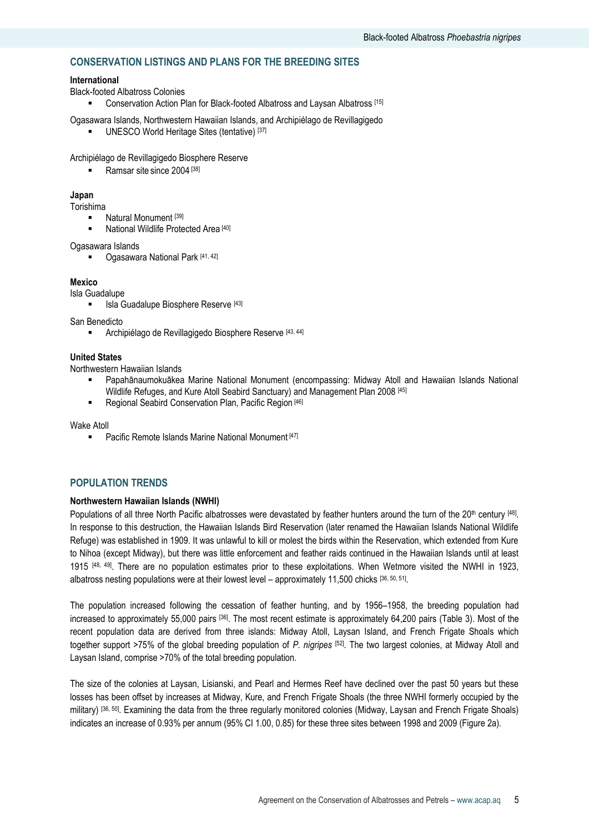# **CONSERVATION LISTINGS AND PLANS FOR THE BREEDING SITES**

#### **International**

Black-footed Albatross Colonies

**EXECONSERVATION Action Plan for Black-footed Albatross and Laysan Albatross** [15]

Ogasawara Islands, Northwestern Hawaiian Islands, and Archipiélago de Revillagigedo UNESCO World Heritage Sites (tentative) [37]

Archipiélago de Revillagigedo Biosphere Reserve

Ramsar site since 2004<sup>[38]</sup>

#### **Japan**

Torishima

- Natural Monument [39]
- National Wildlife Protected Area [40]

Ogasawara Islands

■ Ogasawara National Park [41, 42]

#### **Mexico**

Isla Guadalupe

**Isla Guadalupe Biosphere Reserve [43]** 

San Benedicto

Archipiélago de Revillagigedo Biosphere Reserve [43, 44]

#### **United States**

Northwestern Hawaiian Islands

- Papahānaumokuākea Marine National Monument (encompassing: Midway Atoll and Hawaiian Islands National Wildlife Refuges, and Kure Atoll Seabird Sanctuary) and Management Plan 2008 [45]
- Regional Seabird Conservation Plan, Pacific Region [46]

Wake Atoll

■ Pacific Remote Islands Marine National Monument [47]

#### **POPULATION TRENDS**

#### **Northwestern Hawaiian Islands (NWHI)**

Populations of all three North Pacific albatrosses were devastated by feather hunters around the turn of the 20<sup>th</sup> century [48]. In response to this destruction, the Hawaiian Islands Bird Reservation (later renamed the Hawaiian Islands National Wildlife Refuge) was established in 1909. It was unlawful to kill or molest the birds within the Reservation, which extended from Kure to Nihoa (except Midway), but there was little enforcement and feather raids continued in the Hawaiian Islands until at least 1915 [48, 49]. There are no population estimates prior to these exploitations. When Wetmore visited the NWHI in 1923, albatross nesting populations were at their lowest level – approximately 11,500 chicks [36, 50, 51].

The population increased following the cessation of feather hunting, and by 1956–1958, the breeding population had increased to approximately 55,000 pairs [36]. The most recent estimate is approximately 64,200 pairs (Table 3). Most of the recent population data are derived from three islands: Midway Atoll, Laysan Island, and French Frigate Shoals which together support >75% of the global breeding population of *P. nigripes* [52] . The two largest colonies, at Midway Atoll and Laysan Island, comprise >70% of the total breeding population.

The size of the colonies at Laysan, Lisianski, and Pearl and Hermes Reef have declined over the past 50 years but these losses has been offset by increases at Midway, Kure, and French Frigate Shoals (the three NWHI formerly occupied by the military) [36, 50]. Examining the data from the three regularly monitored colonies (Midway, Laysan and French Frigate Shoals) indicates an increase of 0.93% per annum (95% CI 1.00, 0.85) for these three sites between 1998 and 2009 (Figure 2a).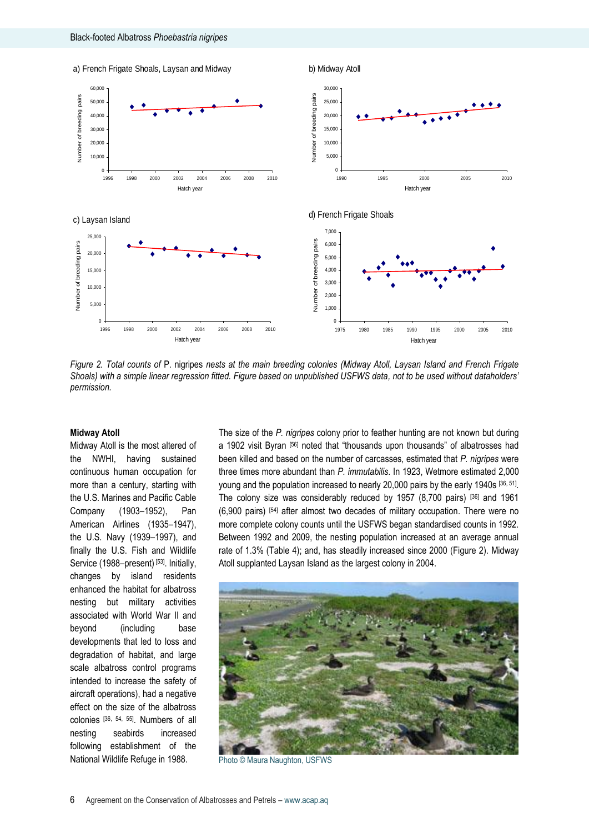

*Figure 2. Total counts of* P. nigripes *nests at the main breeding colonies (Midway Atoll, Laysan Island and French Frigate Shoals) with a simple linear regression fitted. Figure based on unpublished USFWS data, not to be used without dataholders' permission.* 

#### **Midway Atoll**

Midway Atoll is the most altered of the NWHI, having sustained continuous human occupation for more than a century, starting with the U.S. Marines and Pacific Cable Company (1903–1952), Pan American Airlines (1935–1947), the U.S. Navy (1939–1997), and finally the U.S. Fish and Wildlife Service (1988–present)<sup>[53]</sup>. Initially, changes by island residents enhanced the habitat for albatross nesting but military activities associated with World War II and beyond (including base developments that led to loss and degradation of habitat, and large scale albatross control programs intended to increase the safety of aircraft operations), had a negative effect on the size of the albatross colonies [36, 54, 55]. Numbers of all nesting seabirds increased following establishment of the National Wildlife Refuge in 1988.

The size of the *P. nigripes* colony prior to feather hunting are not known but during a 1902 visit Byran [56] noted that "thousands upon thousands" of albatrosses had been killed and based on the number of carcasses, estimated that *P. nigripes* were three times more abundant than *P. immutabilis*. In 1923, Wetmore estimated 2,000 young and the population increased to nearly 20,000 pairs by the early 1940s [36, 51]. The colony size was considerably reduced by 1957 (8,700 pairs) [36] and 1961 (6,900 pairs) [54] after almost two decades of military occupation. There were no more complete colony counts until the USFWS began standardised counts in 1992. Between 1992 and 2009, the nesting population increased at an average annual rate of 1.3% (Table 4); and, has steadily increased since 2000 (Figure 2). Midway Atoll supplanted Laysan Island as the largest colony in 2004.



Photo © Maura Naughton, USFWS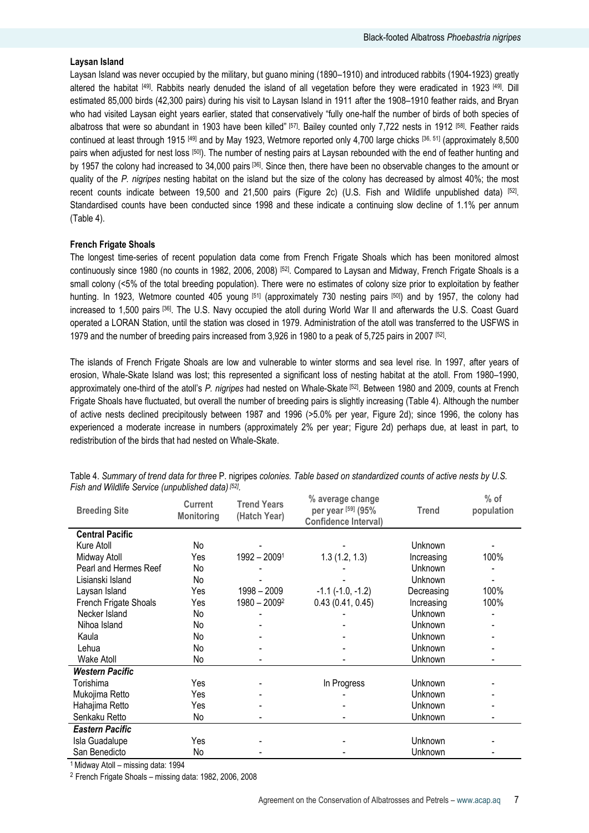#### **Laysan Island**

Laysan Island was never occupied by the military, but guano mining (1890–1910) and introduced rabbits (1904-1923) greatly altered the habitat <sup>[49]</sup>. Rabbits nearly denuded the island of all vegetation before they were eradicated in 1923 <sup>[49]</sup>. Dill estimated 85,000 birds (42,300 pairs) during his visit to Laysan Island in 1911 after the 1908–1910 feather raids, and Bryan who had visited Laysan eight years earlier, stated that conservatively "fully one-half the number of birds of both species of albatross that were so abundant in 1903 have been killed" [57]. Bailey counted only 7,722 nests in 1912 [58]. Feather raids continued at least through 1915 [49] and by May 1923, Wetmore reported only 4,700 large chicks [36, 51] (approximately 8,500 pairs when adjusted for nest loss <sup>[50]</sup>). The number of nesting pairs at Laysan rebounded with the end of feather hunting and by 1957 the colony had increased to 34,000 pairs [36]. Since then, there have been no observable changes to the amount or quality of the *P. nigripes* nesting habitat on the island but the size of the colony has decreased by almost 40%; the most recent counts indicate between 19,500 and 21,500 pairs (Figure 2c) (U.S. Fish and Wildlife unpublished data) [52]. Standardised counts have been conducted since 1998 and these indicate a continuing slow decline of 1.1% per annum (Table 4).

#### **French Frigate Shoals**

The longest time-series of recent population data come from French Frigate Shoals which has been monitored almost continuously since 1980 (no counts in 1982, 2006, 2008) [52]. Compared to Laysan and Midway, French Frigate Shoals is a small colony (<5% of the total breeding population). There were no estimates of colony size prior to exploitation by feather hunting. In 1923, Wetmore counted 405 young [51] (approximately 730 nesting pairs [50]) and by 1957, the colony had increased to 1,500 pairs <sup>[36]</sup>. The U.S. Navy occupied the atoll during World War II and afterwards the U.S. Coast Guard operated a LORAN Station, until the station was closed in 1979. Administration of the atoll was transferred to the USFWS in 1979 and the number of breeding pairs increased from 3,926 in 1980 to a peak of 5,725 pairs in 2007 [52].

The islands of French Frigate Shoals are low and vulnerable to winter storms and sea level rise. In 1997, after years of erosion, Whale-Skate Island was lost; this represented a significant loss of nesting habitat at the atoll. From 1980–1990, approximately one-third of the atoll"s *P. nigripes* had nested on Whale-Skate [52] . Between 1980 and 2009, counts at French Frigate Shoals have fluctuated, but overall the number of breeding pairs is slightly increasing (Table 4). Although the number of active nests declined precipitously between 1987 and 1996 (>5.0% per year, Figure 2d); since 1996, the colony has experienced a moderate increase in numbers (approximately 2% per year; Figure 2d) perhaps due, at least in part, to redistribution of the birds that had nested on Whale-Skate.

| <b>Breeding Site</b>   | <b>Current</b><br><b>Monitoring</b> | <b>Trend Years</b><br>(Hatch Year) | % average change<br>per year [59] (95%<br><b>Confidence Interval)</b> | <b>Trend</b> | $%$ of<br>population |
|------------------------|-------------------------------------|------------------------------------|-----------------------------------------------------------------------|--------------|----------------------|
| <b>Central Pacific</b> |                                     |                                    |                                                                       |              |                      |
| Kure Atoll             | No                                  |                                    |                                                                       | Unknown      |                      |
| Midway Atoll           | Yes                                 | $1992 - 20091$                     | 1.3(1.2, 1.3)                                                         | Increasing   | 100%                 |
| Pearl and Hermes Reef  | No                                  |                                    |                                                                       | Unknown      |                      |
| Lisianski Island       | No                                  |                                    |                                                                       | Unknown      |                      |
| Laysan Island          | Yes                                 | 1998 - 2009                        | $-1.1$ ( $-1.0, -1.2$ )                                               | Decreasing   | 100%                 |
| French Frigate Shoals  | Yes                                 | $1980 - 20092$                     | 0.43(0.41, 0.45)                                                      | Increasing   | 100%                 |
| Necker Island          | No                                  |                                    |                                                                       | Unknown      |                      |
| Nihoa Island           | No                                  |                                    |                                                                       | Unknown      |                      |
| Kaula                  | No                                  |                                    |                                                                       | Unknown      |                      |
| Lehua                  | No                                  |                                    |                                                                       | Unknown      |                      |
| <b>Wake Atoll</b>      | No                                  |                                    |                                                                       | Unknown      | -                    |
| <b>Western Pacific</b> |                                     |                                    |                                                                       |              |                      |
| Torishima              | Yes                                 |                                    | In Progress                                                           | Unknown      |                      |
| Mukojima Retto         | Yes                                 |                                    |                                                                       | Unknown      |                      |
| Hahajima Retto         | Yes                                 |                                    |                                                                       | Unknown      |                      |
| Senkaku Retto          | No                                  |                                    |                                                                       | Unknown      |                      |
| <b>Eastern Pacific</b> |                                     |                                    |                                                                       |              |                      |
| Isla Guadalupe         | Yes                                 |                                    |                                                                       | Unknown      |                      |
| San Benedicto          | No                                  |                                    |                                                                       | Unknown      |                      |

Table 4. *Summary of trend data for three* P. nigripes *colonies. Table based on standardized counts of active nests by U.S. Fish and Wildlife Service (unpublished data) [52] .* **% of** 

<sup>1</sup>Midway Atoll – missing data: 1994

<sup>2</sup> French Frigate Shoals – missing data: 1982, 2006, 2008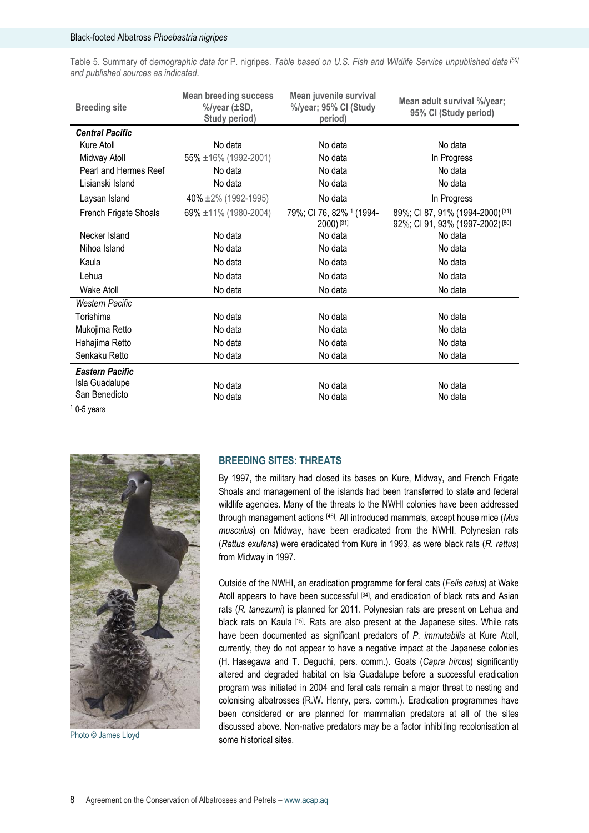Table 5. Summary of d*emographic data for* P. nigripes. *Table based on U.S. Fish and Wildlife Service unpublished data [50] and published sources as indicated.*

| <b>Breeding site</b>   | <b>Mean breeding success</b><br>%/year (±SD,<br>Study period) | Mean juvenile survival<br>%/year; 95% CI (Study<br>period) | Mean adult survival %/year;<br>95% CI (Study period)                                       |
|------------------------|---------------------------------------------------------------|------------------------------------------------------------|--------------------------------------------------------------------------------------------|
| <b>Central Pacific</b> |                                                               |                                                            |                                                                                            |
| Kure Atoll             | No data                                                       | No data                                                    | No data                                                                                    |
| Midway Atoll           | $55\% \pm 16\%$ (1992-2001)                                   | No data                                                    | In Progress                                                                                |
| Pearl and Hermes Reef  | No data                                                       | No data                                                    | No data                                                                                    |
| Lisianski Island       | No data                                                       | No data                                                    | No data                                                                                    |
| Laysan Island          | 40% $\pm 2\%$ (1992-1995)                                     | No data                                                    | In Progress                                                                                |
| French Frigate Shoals  | 69% $\pm$ 11% (1980-2004)                                     | 79%; CI 76, 82% <sup>1</sup> (1994-<br>2000) [31]          | 89%; CI 87, 91% (1994-2000) <sup>[31]</sup><br>92%; CI 91, 93% (1997-2002) <sup>[60]</sup> |
| Necker Island          | No data                                                       | No data                                                    | No data                                                                                    |
| Nihoa Island           | No data                                                       | No data                                                    | No data                                                                                    |
| Kaula                  | No data                                                       | No data                                                    | No data                                                                                    |
| Lehua                  | No data                                                       | No data                                                    | No data                                                                                    |
| <b>Wake Atoll</b>      | No data                                                       | No data                                                    | No data                                                                                    |
| Western Pacific        |                                                               |                                                            |                                                                                            |
| Torishima              | No data                                                       | No data                                                    | No data                                                                                    |
| Mukojima Retto         | No data                                                       | No data                                                    | No data                                                                                    |
| Hahajima Retto         | No data                                                       | No data                                                    | No data                                                                                    |
| Senkaku Retto          | No data                                                       | No data                                                    | No data                                                                                    |
| <b>Eastern Pacific</b> |                                                               |                                                            |                                                                                            |
| Isla Guadalupe         | No data                                                       | No data                                                    | No data                                                                                    |
| San Benedicto          | No data                                                       | No data                                                    | No data                                                                                    |

 $10-5$  years



Photo © James Lloyd

# **BREEDING SITES: THREATS**

By 1997, the military had closed its bases on Kure, Midway, and French Frigate Shoals and management of the islands had been transferred to state and federal wildlife agencies. Many of the threats to the NWHI colonies have been addressed through management actions [46]. All introduced mammals, except house mice (*Mus musculus*) on Midway, have been eradicated from the NWHI. Polynesian rats (*Rattus exulans*) were eradicated from Kure in 1993, as were black rats (*R. rattus*) from Midway in 1997.

Outside of the NWHI, an eradication programme for feral cats (*Felis catus*) at Wake Atoll appears to have been successful [34], and eradication of black rats and Asian rats (*R. tanezumi*) is planned for 2011. Polynesian rats are present on Lehua and black rats on Kaula [15]. Rats are also present at the Japanese sites. While rats have been documented as significant predators of *P. immutabilis* at Kure Atoll, currently, they do not appear to have a negative impact at the Japanese colonies (H. Hasegawa and T. Deguchi, pers. comm.). Goats (*Capra hircus*) significantly altered and degraded habitat on Isla Guadalupe before a successful eradication program was initiated in 2004 and feral cats remain a major threat to nesting and colonising albatrosses (R.W. Henry, pers. comm.). Eradication programmes have been considered or are planned for mammalian predators at all of the sites discussed above. Non-native predators may be a factor inhibiting recolonisation at some historical sites.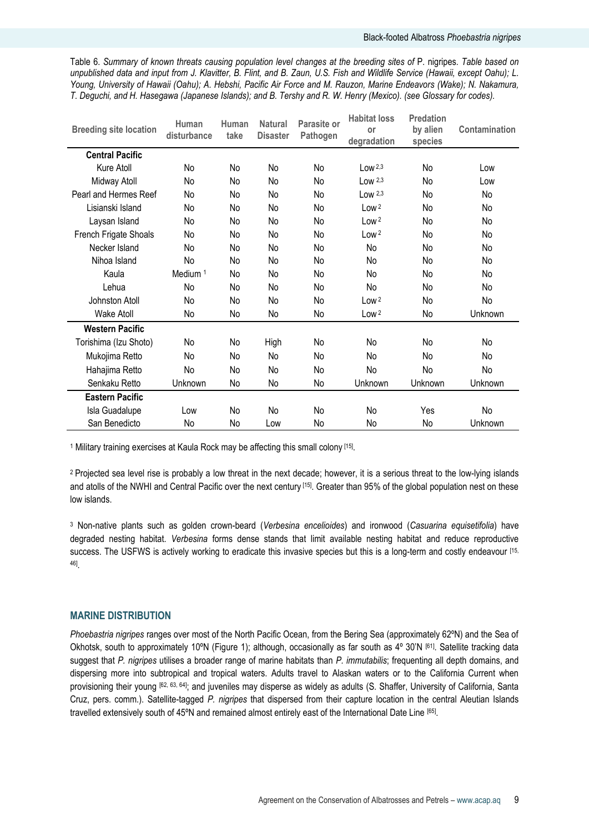Table 6. *Summary of known threats causing population level changes at the breeding sites of* P. nigripes*. Table based on unpublished data and input from J. Klavitter, B. Flint, and B. Zaun, U.S. Fish and Wildlife Service (Hawaii, except Oahu); L. Young, University of Hawaii (Oahu); A. Hebshi, Pacific Air Force and M. Rauzon, Marine Endeavors (Wake); N. Nakamura, T. Deguchi, and H. Hasegawa (Japanese Islands); and B. Tershy and R. W. Henry (Mexico). (see Glossary for codes).*

| <b>Breeding site location</b> | Human<br>disturbance | Human<br>take | <b>Natural</b><br><b>Disaster</b> | Parasite or<br>Pathogen | <b>Habitat loss</b><br>or<br>degradation | Predation<br>by alien<br>species | <b>Contamination</b> |
|-------------------------------|----------------------|---------------|-----------------------------------|-------------------------|------------------------------------------|----------------------------------|----------------------|
| <b>Central Pacific</b>        |                      |               |                                   |                         |                                          |                                  |                      |
| Kure Atoll                    | No                   | No            | No                                | No                      | Low $2,3$                                | No                               | Low                  |
| Midway Atoll                  | No                   | No            | No                                | No                      | Low $2,3$                                | No                               | Low                  |
| Pearl and Hermes Reef         | No                   | No            | No                                | No                      | Low $2,3$                                | No                               | No                   |
| Lisianski Island              | No                   | No            | No                                | No                      | Low <sup>2</sup>                         | No                               | No                   |
| Laysan Island                 | No                   | No            | No                                | No                      | Low <sup>2</sup>                         | No                               | No                   |
| French Frigate Shoals         | No                   | No            | No                                | No                      | Low <sup>2</sup>                         | No                               | No                   |
| Necker Island                 | No                   | No            | No                                | No                      | No                                       | No                               | No                   |
| Nihoa Island                  | No                   | No            | No                                | No                      | No                                       | No                               | No                   |
| Kaula                         | Medium <sup>1</sup>  | No            | No                                | No                      | No                                       | No                               | No                   |
| Lehua                         | No                   | No            | No                                | No                      | No                                       | No                               | No                   |
| Johnston Atoll                | No                   | No            | No                                | No                      | Low <sup>2</sup>                         | No                               | No                   |
| <b>Wake Atoll</b>             | No                   | No            | No                                | No                      | Low <sup>2</sup>                         | No                               | Unknown              |
| <b>Western Pacific</b>        |                      |               |                                   |                         |                                          |                                  |                      |
| Torishima (Izu Shoto)         | No                   | No            | High                              | No                      | No                                       | No                               | No                   |
| Mukojima Retto                | No                   | No            | No                                | No                      | No                                       | No                               | No                   |
| Hahajima Retto                | No                   | No            | No                                | No                      | No                                       | No                               | No                   |
| Senkaku Retto                 | Unknown              | No            | No                                | No                      | Unknown                                  | Unknown                          | Unknown              |
| <b>Eastern Pacific</b>        |                      |               |                                   |                         |                                          |                                  |                      |
| Isla Guadalupe                | Low                  | No            | <b>No</b>                         | No                      | No                                       | Yes                              | No                   |
| San Benedicto                 | No                   | No            | Low                               | No                      | No                                       | No                               | Unknown              |

<sup>1</sup> Military training exercises at Kaula Rock may be affecting this small colony [15].

<sup>2</sup> Projected sea level rise is probably a low threat in the next decade; however, it is a serious threat to the low-lying islands and atolls of the NWHI and Central Pacific over the next century [15]. Greater than 95% of the global population nest on these low islands.

<sup>3</sup> Non-native plants such as golden crown-beard (*Verbesina encelioides*) and ironwood (*Casuarina equisetifolia*) have degraded nesting habitat. *Verbesina* forms dense stands that limit available nesting habitat and reduce reproductive success. The USFWS is actively working to eradicate this invasive species but this is a long-term and costly endeavour [15, 46] .

# **MARINE DISTRIBUTION**

*Phoebastria nigripes* ranges over most of the North Pacific Ocean, from the Bering Sea (approximately 62ºN) and the Sea of Okhotsk, south to approximately 10°N (Figure 1); although, occasionally as far south as 4° 30'N <sup>[61]</sup>. Satellite tracking data suggest that *P. nigripes* utilises a broader range of marine habitats than *P. immutabilis*; frequenting all depth domains, and dispersing more into subtropical and tropical waters. Adults travel to Alaskan waters or to the California Current when provisioning their young [62, 63, 64]; and juveniles may disperse as widely as adults (S. Shaffer, University of California, Santa Cruz, pers. comm.). Satellite-tagged *P. nigripes* that dispersed from their capture location in the central Aleutian Islands travelled extensively south of 45°N and remained almost entirely east of the International Date Line [65].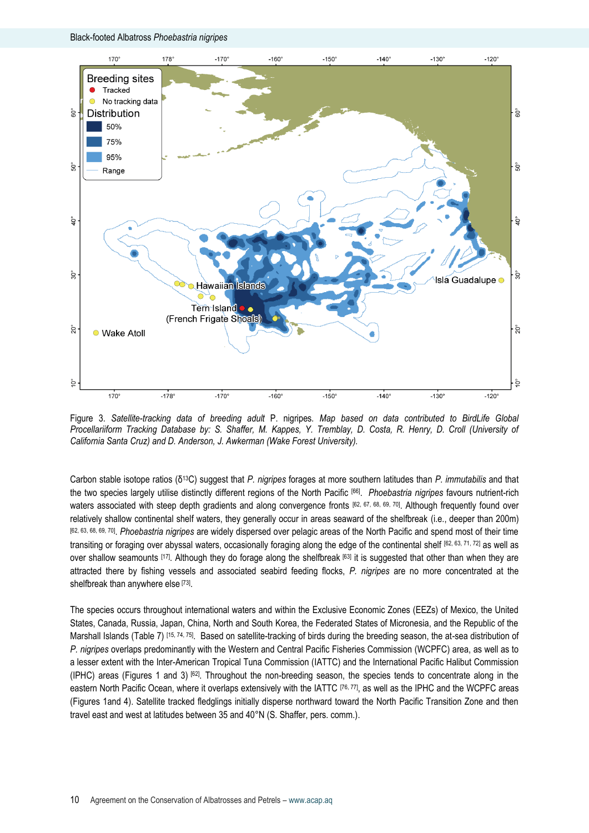

Figure 3. *Satellite-tracking data of breeding adult* P. nigripes*. Map based on data contributed to BirdLife Global Procellariiform Tracking Database by: S. Shaffer, M. Kappes, Y. Tremblay, D. Costa, R. Henry, D. Croll (University of California Santa Cruz) and D. Anderson, J. Awkerman (Wake Forest University).*

Carbon stable isotope ratios (δ13C) suggest that *P. nigripes* forages at more southern latitudes than *P. immutabilis* and that the two species largely utilise distinctly different regions of the North Pacific [66] . *Phoebastria nigripes* favours nutrient-rich waters associated with steep depth gradients and along convergence fronts [62, 67, 68, 69, 70]. Although frequently found over relatively shallow continental shelf waters, they generally occur in areas seaward of the shelfbreak (i.e., deeper than 200m) [62, 63, 68, 69, 70] . *Phoebastria nigripes* are widely dispersed over pelagic areas of the North Pacific and spend most of their time transiting or foraging over abyssal waters, occasionally foraging along the edge of the continental shelf  $[62, 63, 71, 72]$  as well as over shallow seamounts  $[17]$ . Although they do forage along the shelfbreak  $[63]$  it is suggested that other than when they are attracted there by fishing vessels and associated seabird feeding flocks, *P. nigripes* are no more concentrated at the shelfbreak than anywhere else [73].

The species occurs throughout international waters and within the Exclusive Economic Zones (EEZs) of Mexico, the United States, Canada, Russia, Japan, China, North and South Korea, the Federated States of Micronesia, and the Republic of the Marshall Islands (Table 7) [15, 74, 75]. Based on satellite-tracking of birds during the breeding season, the at-sea distribution of *P. nigripes* overlaps predominantly with the Western and Central Pacific Fisheries Commission (WCPFC) area, as well as to a lesser extent with the Inter-American Tropical Tuna Commission (IATTC) and the International Pacific Halibut Commission (IPHC) areas (Figures 1 and 3) [62] . Throughout the non-breeding season, the species tends to concentrate along in the eastern North Pacific Ocean, where it overlaps extensively with the IATTC [76,77], as well as the IPHC and the WCPFC areas (Figures 1and 4). Satellite tracked fledglings initially disperse northward toward the North Pacific Transition Zone and then travel east and west at latitudes between 35 and 40°N (S. Shaffer, pers. comm.).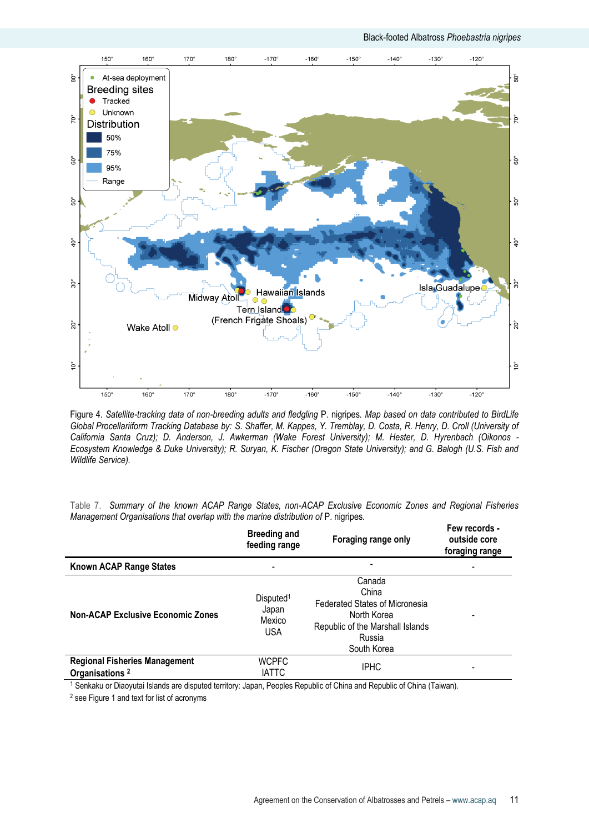

Figure 4*. Satellite-tracking data of non-breeding adults and fledgling* P. nigripes*. Map based on data contributed to BirdLife Global Procellariiform Tracking Database by: S. Shaffer, M. Kappes, Y. Tremblay, D. Costa, R. Henry, D. Croll (University of California Santa Cruz); D. Anderson, J. Awkerman (Wake Forest University); M. Hester, D. Hyrenbach (Oikonos - Ecosystem Knowledge & Duke University); R. Suryan, K. Fischer (Oregon State University); and G. Balogh (U.S. Fish and Wildlife Service).*

|  |  |  | Table 7. Summary of the known ACAP Range States, non-ACAP Exclusive Economic Zones and Regional Fisheries |  |  |  |
|--|--|--|-----------------------------------------------------------------------------------------------------------|--|--|--|
|  |  |  | Management Organisations that overlap with the marine distribution of P. nigripes.                        |  |  |  |

|                                                                    | <b>Breeding and</b><br>feeding range                   | Foraging range only                                                                                                           | Few records -<br>outside core<br>foraging range |
|--------------------------------------------------------------------|--------------------------------------------------------|-------------------------------------------------------------------------------------------------------------------------------|-------------------------------------------------|
| Known ACAP Range States                                            | ٠                                                      |                                                                                                                               |                                                 |
| <b>Non-ACAP Exclusive Economic Zones</b>                           | Disputed <sup>1</sup><br>Japan<br>Mexico<br><b>USA</b> | Canada<br>China<br>Federated States of Micronesia<br>North Korea<br>Republic of the Marshall Islands<br>Russia<br>South Korea |                                                 |
| <b>Regional Fisheries Management</b><br>Organisations <sup>2</sup> | <b>WCPFC</b><br><b>IATTC</b>                           | <b>IPHC</b>                                                                                                                   | -                                               |

<sup>1</sup> Senkaku or Diaoyutai Islands are disputed territory: Japan, Peoples Republic of China and Republic of China (Taiwan).

<sup>2</sup> see Figure 1 and text for list of acronyms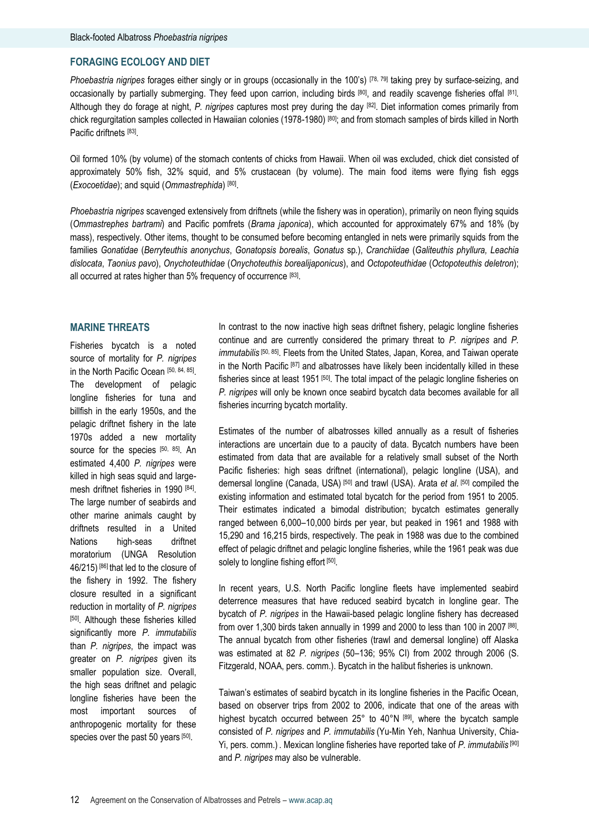# **FORAGING ECOLOGY AND DIET**

*Phoebastria nigripes* forages either singly or in groups (occasionally in the 100"s) [78, 79] taking prey by surface-seizing, and occasionally by partially submerging. They feed upon carrion, including birds [80], and readily scavenge fisheries offal [81]. Although they do forage at night, *P. nigripes* captures most prey during the day [82] . Diet information comes primarily from chick regurgitation samples collected in Hawaiian colonies (1978-1980) [80]; and from stomach samples of birds killed in North Pacific driftnets [83].

Oil formed 10% (by volume) of the stomach contents of chicks from Hawaii. When oil was excluded, chick diet consisted of approximately 50% fish, 32% squid, and 5% crustacean (by volume). The main food items were flying fish eggs (*Exocoetidae*); and squid (*Ommastrephida*) [80] .

*Phoebastria nigripes* scavenged extensively from driftnets (while the fishery was in operation), primarily on neon flying squids (*Ommastrephes bartrami*) and Pacific pomfrets (*Brama japonica*), which accounted for approximately 67% and 18% (by mass), respectively. Other items, thought to be consumed before becoming entangled in nets were primarily squids from the families *Gonatidae* (*Berryteuthis anonychus*, *Gonatopsis borealis*, *Gonatus* sp*.*), *Cranchiidae* (*Galiteuthis phyllura, Leachia dislocata*, *Taonius pavo*), *Onychoteuthidae* (*Onychoteuthis borealijaponicus*), and *Octopoteuthidae* (*Octopoteuthis deletron*); all occurred at rates higher than 5% frequency of occurrence [83].

#### **MARINE THREATS**

Fisheries bycatch is a noted source of mortality for *P. nigripes* in the North Pacific Ocean [50, 84, 85]. The development of pelagic longline fisheries for tuna and billfish in the early 1950s, and the pelagic driftnet fishery in the late 1970s added a new mortality source for the species [50, 85]. An estimated 4,400 *P. nigripes* were killed in high seas squid and largemesh driftnet fisheries in 1990 [84]. The large number of seabirds and other marine animals caught by driftnets resulted in a United Nations high-seas driftnet moratorium (UNGA Resolution 46/215) [86] that led to the closure of the fishery in 1992. The fishery closure resulted in a significant reduction in mortality of *P. nigripes* [50]. Although these fisheries killed significantly more *P. immutabilis* than *P. nigripes*, the impact was greater on *P. nigripes* given its smaller population size. Overall, the high seas driftnet and pelagic longline fisheries have been the most important sources of anthropogenic mortality for these species over the past 50 years [50].

In contrast to the now inactive high seas driftnet fishery, pelagic longline fisheries continue and are currently considered the primary threat to *P. nigripes* and *P. immutabilis* [50, 85]. Fleets from the United States, Japan, Korea, and Taiwan operate in the North Pacific [87] and albatrosses have likely been incidentally killed in these fisheries since at least 1951 [50]. The total impact of the pelagic longline fisheries on *P. nigripes* will only be known once seabird bycatch data becomes available for all fisheries incurring bycatch mortality.

Estimates of the number of albatrosses killed annually as a result of fisheries interactions are uncertain due to a paucity of data. Bycatch numbers have been estimated from data that are available for a relatively small subset of the North Pacific fisheries: high seas driftnet (international), pelagic longline (USA), and demersal longline (Canada, USA) [50] and trawl (USA). Arata *et al*. [50] compiled the existing information and estimated total bycatch for the period from 1951 to 2005. Their estimates indicated a bimodal distribution; bycatch estimates generally ranged between 6,000–10,000 birds per year, but peaked in 1961 and 1988 with 15,290 and 16,215 birds, respectively. The peak in 1988 was due to the combined effect of pelagic driftnet and pelagic longline fisheries, while the 1961 peak was due solely to longline fishing effort [50].

In recent years, U.S. North Pacific longline fleets have implemented seabird deterrence measures that have reduced seabird bycatch in longline gear. The bycatch of *P. nigripes* in the Hawaii-based pelagic longline fishery has decreased from over 1,300 birds taken annually in 1999 and 2000 to less than 100 in 2007<sup>[88]</sup>. The annual bycatch from other fisheries (trawl and demersal longline) off Alaska was estimated at 82 *P. nigripes* (50–136; 95% CI) from 2002 through 2006 (S. Fitzgerald, NOAA, pers. comm.). Bycatch in the halibut fisheries is unknown.

Taiwan"s estimates of seabird bycatch in its longline fisheries in the Pacific Ocean, based on observer trips from 2002 to 2006, indicate that one of the areas with highest bycatch occurred between 25° to 40°N [89], where the bycatch sample consisted of *P. nigripes* and *P. immutabilis* (Yu-Min Yeh, Nanhua University, Chia-Yi, pers. comm.) . Mexican longline fisheries have reported take of *P. immutabilis* [90] and *P. nigripes* may also be vulnerable.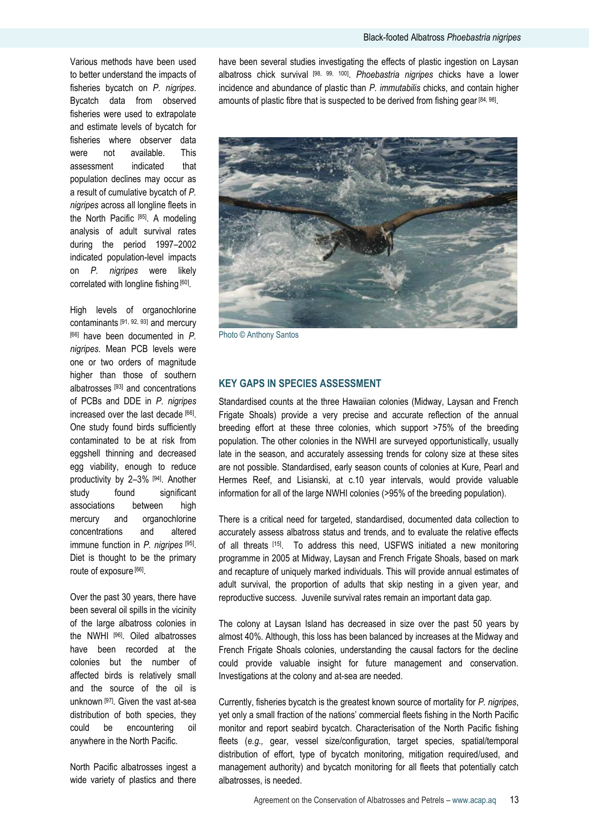Various methods have been used to better understand the impacts of fisheries bycatch on *P. nigripes*. Bycatch data from observed fisheries were used to extrapolate and estimate levels of bycatch for fisheries where observer data were not available. This assessment indicated that population declines may occur as a result of cumulative bycatch of *P. nigripes* across all longline fleets in the North Pacific [85]. A modeling analysis of adult survival rates during the period 1997–2002 indicated population-level impacts on *P. nigripes* were likely correlated with longline fishing [60].

High levels of organochlorine contaminants [91, 92, 93] and mercury [66] have been documented in *P. nigripes*. Mean PCB levels were one or two orders of magnitude higher than those of southern albatrosses [93] and concentrations of PCBs and DDE in *P. nigripes* increased over the last decade [66]. One study found birds sufficiently contaminated to be at risk from eggshell thinning and decreased egg viability, enough to reduce productivity by 2-3% [94]. Another study found significant associations between high mercury and organochlorine concentrations and altered immune function in *P. nigripes* [95] . Diet is thought to be the primary route of exposure [66].

Over the past 30 years, there have been several oil spills in the vicinity of the large albatross colonies in the NWHI [96]. Oiled albatrosses have been recorded at the colonies but the number of affected birds is relatively small and the source of the oil is unknown [97]. Given the vast at-sea distribution of both species, they could be encountering oil anywhere in the North Pacific.

North Pacific albatrosses ingest a wide variety of plastics and there

have been several studies investigating the effects of plastic ingestion on Laysan albatross chick survival [98, 99, 100] . *Phoebastria nigripes* chicks have a lower incidence and abundance of plastic than *P. immutabilis* chicks, and contain higher amounts of plastic fibre that is suspected to be derived from fishing gear [84, 98].



Photo © Anthony Santos

### **KEY GAPS IN SPECIES ASSESSMENT**

Standardised counts at the three Hawaiian colonies (Midway, Laysan and French Frigate Shoals) provide a very precise and accurate reflection of the annual breeding effort at these three colonies, which support >75% of the breeding population. The other colonies in the NWHI are surveyed opportunistically, usually late in the season, and accurately assessing trends for colony size at these sites are not possible. Standardised, early season counts of colonies at Kure, Pearl and Hermes Reef, and Lisianski, at c.10 year intervals, would provide valuable information for all of the large NWHI colonies (>95% of the breeding population).

There is a critical need for targeted, standardised, documented data collection to accurately assess albatross status and trends, and to evaluate the relative effects of all threats [15]. To address this need, USFWS initiated a new monitoring programme in 2005 at Midway, Laysan and French Frigate Shoals, based on mark and recapture of uniquely marked individuals. This will provide annual estimates of adult survival, the proportion of adults that skip nesting in a given year, and reproductive success. Juvenile survival rates remain an important data gap.

The colony at Laysan Island has decreased in size over the past 50 years by almost 40%. Although, this loss has been balanced by increases at the Midway and French Frigate Shoals colonies, understanding the causal factors for the decline could provide valuable insight for future management and conservation. Investigations at the colony and at-sea are needed.

Currently, fisheries bycatch is the greatest known source of mortality for *P. nigripes*, yet only a small fraction of the nations" commercial fleets fishing in the North Pacific monitor and report seabird bycatch. Characterisation of the North Pacific fishing fleets (*e.g.,* gear, vessel size/configuration, target species, spatial/temporal distribution of effort, type of bycatch monitoring, mitigation required/used, and management authority) and bycatch monitoring for all fleets that potentially catch albatrosses, is needed.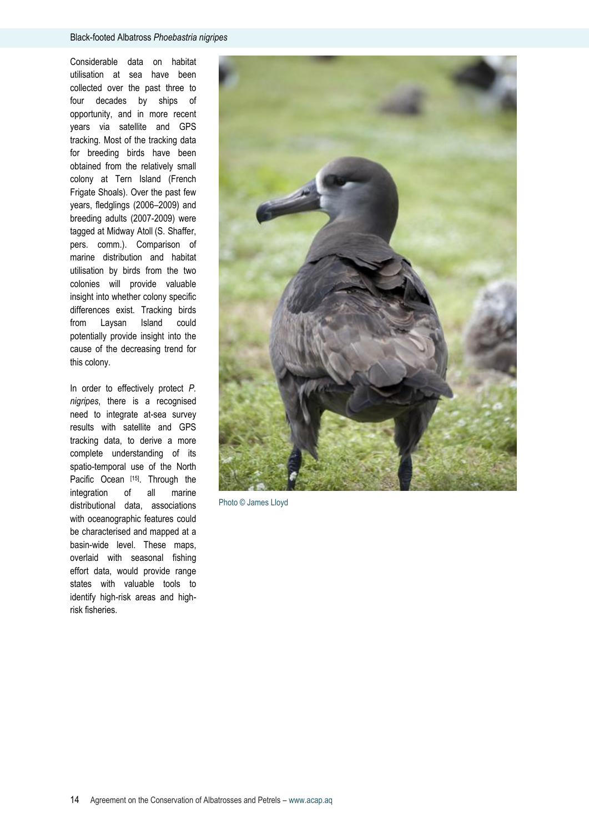Considerable data on habitat utilisation at sea have been collected over the past three to four decades by ships of opportunity, and in more recent years via satellite and GPS tracking. Most of the tracking data for breeding birds have been obtained from the relatively small colony at Tern Island (French Frigate Shoals). Over the past few years, fledglings (2006–2009) and breeding adults (2007-2009) were tagged at Midway Atoll (S. Shaffer, pers. comm.). Comparison of marine distribution and habitat utilisation by birds from the two colonies will provide valuable insight into whether colony specific differences exist. Tracking birds from Laysan Island could potentially provide insight into the cause of the decreasing trend for this colony.

In order to effectively protect *P. nigripes*, there is a recognised need to integrate at-sea survey results with satellite and GPS tracking data, to derive a more complete understanding of its spatio-temporal use of the North Pacific Ocean [15]. Through the integration of all marine distributional data, associations with oceanographic features could be characterised and mapped at a basin-wide level. These maps, overlaid with seasonal fishing effort data, would provide range states with valuable tools to identify high-risk areas and highrisk fisheries.



Photo © James Lloyd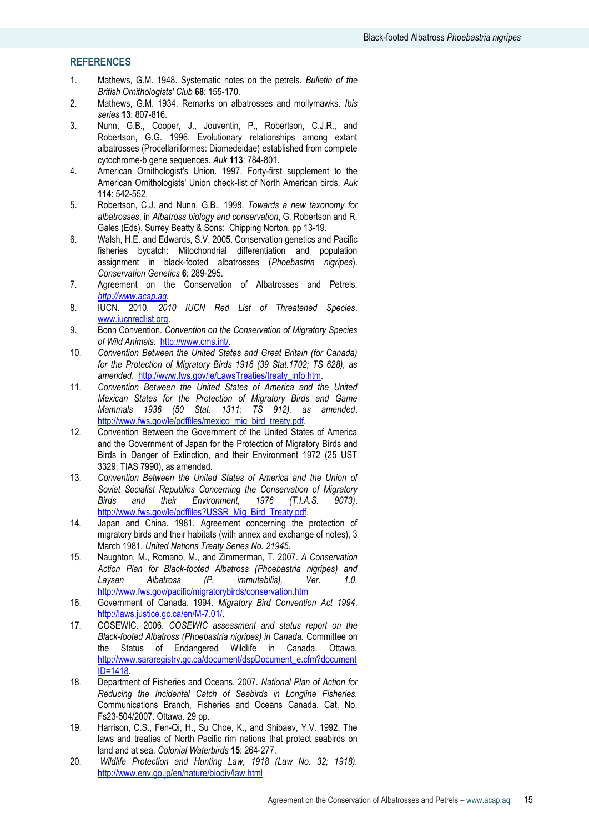# **REFERENCES**

- 1. Mathews, G.M. 1948. Systematic notes on the petrels*. Bulletin of the British Ornithologists' Club* **68**: 155-170.
- 2. Mathews, G.M. 1934. Remarks on albatrosses and mollymawks*. Ibis series* **13**: 807-816.
- 3. Nunn, G.B., Cooper, J., Jouventin, P., Robertson, C.J.R., and Robertson, G.G. 1996. Evolutionary relationships among extant albatrosses (Procellariiformes: Diomedeidae) established from complete cytochrome-b gene sequences*. Auk* **113**: 784-801.
- 4. American Ornithologist's Union. 1997. Forty-first supplement to the American Ornithologists' Union check-list of North American birds*. Auk* **114**: 542-552.
- 5. Robertson, C.J. and Nunn, G.B., 1998. *Towards a new taxonomy for albatrosses*, in *Albatross biology and conservation*, G. Robertson and R. Gales (Eds). Surrey Beatty & Sons: Chipping Norton. pp 13-19.
- 6. Walsh, H.E. and Edwards, S.V. 2005. Conservation genetics and Pacific fisheries bycatch: Mitochondrial differentiation and population assignment in black-footed albatrosses (*Phoebastria nigripes*)*. Conservation Genetics* **6**: 289-295.
- 7. Agreement on the Conservation of Albatrosses and Petrels. *[http://www.acap.aq.](http://www.acap.aq/)*
- 8. IUCN. 2010. *2010 IUCN Red List of Threatened Species*. [www.iucnredlist.org.](http://www.iucnredlist.org/)
- 9. Bonn Convention. *Convention on the Conservation of Migratory Species of Wild Animals*. [http://www.cms.int/.](http://www.cms.int/)
- 10. *Convention Between the United States and Great Britain (for Canada) for the Protection of Migratory Birds 1916 (39 Stat.1702; TS 628), as amended*. [http://www.fws.gov/le/LawsTreaties/treaty\\_info.htm.](http://www.fws.gov/le/LawsTreaties/treaty_info.htm)
- 11. *Convention Between the United States of America and the United Mexican States for the Protection of Migratory Birds and Game Mammals 1936 (50 Stat. 1311; TS 912), as amended*. [http://www.fws.gov/le/pdffiles/mexico\\_mig\\_bird\\_treaty.pdf.](http://www.fws.gov/le/pdffiles/mexico_mig_bird_treaty.pdf)
- 12. Convention Between the Government of the United States of America and the Government of Japan for the Protection of Migratory Birds and Birds in Danger of Extinction, and their Environment 1972 (25 UST 3329; TIAS 7990), as amended.
- 13. *Convention Between the United States of America and the Union of Soviet Socialist Republics Concerning the Conservation of Migratory Birds and their Environment, 1976 (T.I.A.S. 9073)*. [http://www.fws.gov/le/pdffiles?USSR\\_Mig\\_Bird\\_Treaty.pdf.](http://www.fws.gov/le/pdffiles?USSR_Mig_Bird_Treaty.pdf)
- 14. Japan and China. 1981. Agreement concerning the protection of migratory birds and their habitats (with annex and exchange of notes), 3 March 1981*. United Nations Treaty Series No. 21945*.
- 15. Naughton, M., Romano, M., and Zimmerman, T. 2007. *A Conservation Action Plan for Black-footed Albatross (Phoebastria nigripes) and Laysan Albatross (P. immutabilis), Ver. 1.0.* <http://www.fws.gov/pacific/migratorybirds/conservation.htm>
- 16. Government of Canada. 1994. *Migratory Bird Convention Act 1994*. [http://laws.justice.gc.ca/en/M-7.01/.](http://laws.justice.gc.ca/en/M-7.01/)
- 17. COSEWIC. 2006. *COSEWIC assessment and status report on the Black-footed Albatross (Phoebastria nigripes) in Canada.* Committee on the Status of Endangered Wildlife in Canada. Ottawa. [http://www.sararegistry.gc.ca/document/dspDocument\\_e.cfm?document](http://www.sararegistry.gc.ca/document/dspDocument_e.cfm?documentID=1418) [ID=1418.](http://www.sararegistry.gc.ca/document/dspDocument_e.cfm?documentID=1418)
- 18. Department of Fisheries and Oceans. 2007. *National Plan of Action for Reducing the Incidental Catch of Seabirds in Longline Fisheries.* Communications Branch, Fisheries and Oceans Canada. Cat. No. Fs23-504/2007. Ottawa. 29 pp.
- 19. Harrison, C.S., Fen-Qi, H., Su Choe, K., and Shibaev, Y.V. 1992. The laws and treaties of North Pacific rim nations that protect seabirds on land and at sea*. Colonial Waterbirds* **15**: 264-277.
- 20. *Wildlife Protection and Hunting Law, 1918 (Law No. 32; 1918).*  <http://www.env.go.jp/en/nature/biodiv/law.html>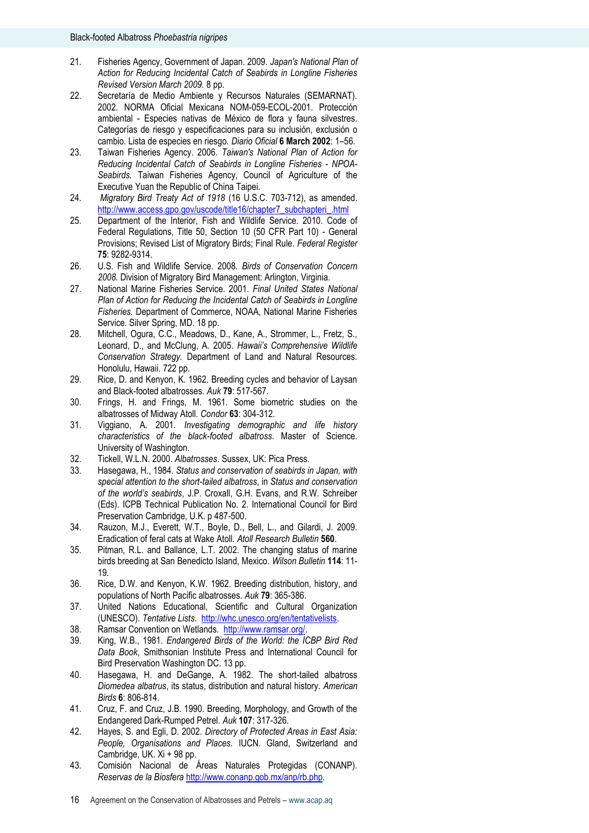- 21. Fisheries Agency, Government of Japan. 2009. *Japan's National Plan of Action for Reducing Incidental Catch of Seabirds in Longline Fisheries Revised Version March 2009.* 8 pp.
- 22. Secretaría de Medio Ambiente y Recursos Naturales (SEMARNAT). 2002. NORMA Oficial Mexicana NOM-059-ECOL-2001. Protección ambiental - Especies nativas de México de flora y fauna silvestres. Categorías de riesgo y especificaciones para su inclusión, exclusión o cambio. Lista de especies en riesgo*. Diario Oficial* **6 March 2002**: 1–56.
- 23. Taiwan Fisheries Agency. 2006. *Taiwan's National Plan of Action for Reducing Incidental Catch of Seabirds in Longline Fisheries - NPOA-Seabirds.* Taiwan Fisheries Agency, Council of Agriculture of the Executive Yuan the Republic of China Taipei.
- 24. *Migratory Bird Treaty Act of 1918* (16 U.S.C. 703-712), as amended. [http://www.access.gpo.gov/uscode/title16/chapter7\\_subchapteri\\_.html](http://www.access.gpo.gov/uscode/title16/chapter7_subchapteri_.html)
- 25. Department of the Interior, Fish and Wildlife Service. 2010. Code of Federal Regulations, Title 50, Section 10 (50 CFR Part 10) - General Provisions; Revised List of Migratory Birds; Final Rule*. Federal Register* **75**: 9282-9314.
- 26. U.S. Fish and Wildlife Service. 2008. *Birds of Conservation Concern 2008.* Division of Migratory Bird Management: Arlington, Virginia.
- 27. National Marine Fisheries Service. 2001. *Final United States National Plan of Action for Reducing the Incidental Catch of Seabirds in Longline Fisheries.* Department of Commerce, NOAA, National Marine Fisheries Service. Silver Spring, MD. 18 pp.
- 28. Mitchell, Ogura, C.C., Meadows, D., Kane, A., Strommer, L., Fretz, S., Leonard, D., and McClung, A. 2005. *Hawaii's Comprehensive Wildlife Conservation Strategy.* Department of Land and Natural Resources. Honolulu, Hawaii. 722 pp.
- 29. Rice, D. and Kenyon, K. 1962. Breeding cycles and behavior of Laysan and Black-footed albatrosses*. Auk* **79**: 517-567.
- 30. Frings, H. and Frings, M. 1961. Some biometric studies on the albatrosses of Midway Atoll*. Condor* **63**: 304-312.
- 31. Viggiano, A. 2001. *Investigating demographic and life history characteristics of the black-footed albatross*. Master of Science. University of Washington.
- 32. Tickell, W.L.N. 2000. *Albatrosses*. Sussex, UK: Pica Press.
- 33. Hasegawa, H., 1984. *Status and conservation of seabirds in Japan, with special attention to the short-tailed albatross*, in *Status and conservation of the world's seabirds*, J.P. Croxall, G.H. Evans, and R.W. Schreiber (Eds). ICPB Technical Publication No. 2. International Council for Bird Preservation Cambridge, U.K. p 487-500.
- 34. Rauzon, M.J., Everett, W.T., Boyle, D., Bell, L., and Gilardi, J. 2009. Eradication of feral cats at Wake Atoll*. Atoll Research Bulletin* **560**.
- 35. Pitman, R.L. and Ballance, L.T. 2002. The changing status of marine birds breeding at San Benedicto Island, Mexico*. Wilson Bulletin* **114**: 11- 19.
- 36. Rice, D.W. and Kenyon, K.W. 1962. Breeding distribution, history, and populations of North Pacific albatrosses*. Auk* **79**: 365-386.
- 37. United Nations Educational, Scientific and Cultural Organization (UNESCO). *Tentative Lists*. [http://whc.unesco.org/en/tentativelists.](http://whc.unesco.org/en/tentativelists)
- 38. Ramsar Convention on Wetlands. [http://www.ramsar.org/.](http://www.ramsar.org/)
- 39. King, W.B., 1981. *Endangered Birds of the World: the ICBP Bird Red Data Book*, Smithsonian Institute Press and International Council for Bird Preservation Washington DC. 13 pp.
- 40. Hasegawa, H. and DeGange, A. 1982. The short-tailed albatross *Diomedea albatrus*, its status, distribution and natural history*. American Birds* **6**: 806-814.
- 41. Cruz, F. and Cruz, J.B. 1990. Breeding, Morphology, and Growth of the Endangered Dark-Rumped Petrel*. Auk* **107**: 317-326.
- 42. Hayes, S. and Egli, D. 2002. *Directory of Protected Areas in East Asia: People, Organisations and Places.* IUCN. Gland, Switzerland and Cambridge, UK. Xi + 98 pp.
- 43. Comisión Nacional de Áreas Naturales Protegidas (CONANP). *Reservas de la Biosfera* [http://www.conanp.gob.mx/anp/rb.php.](http://www.conanp.gob.mx/anp/rb.php)
- 16 Agreement on the Conservation of Albatrosses and Petrels www.acap.aq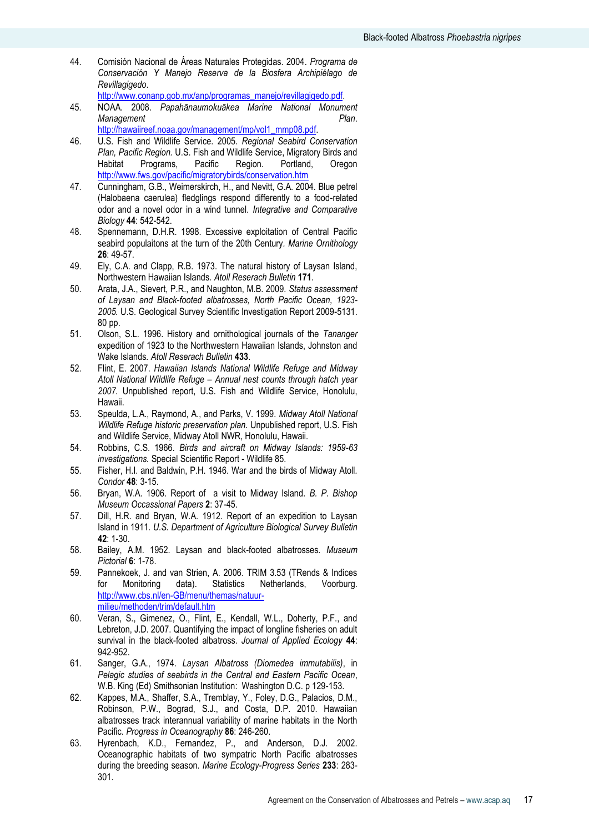- 44. Comisión Nacional de Áreas Naturales Protegidas. 2004. *Programa de Conservación Y Manejo Reserva de la Biosfera Archipiélago de Revillagigedo*.
	- [http://www.conanp.gob.mx/anp/programas\\_manejo/revillagigedo.pdf.](http://www.conanp.gob.mx/anp/programas_manejo/revillagigedo.pdf)
- 45. NOAA. 2008. *Papahānaumokuākea Marine National Monument Management Plan*. [http://hawaiireef.noaa.gov/management/mp/vol1\\_mmp08.pdf.](http://hawaiireef.noaa.gov/management/mp/vol1_mmp08.pdf)
- 46. U.S. Fish and Wildlife Service. 2005. *Regional Seabird Conservation Plan, Pacific Region.* U.S. Fish and Wildlife Service, Migratory Birds and Habitat Programs, Pacific Region. Portland, Oregon <http://www.fws.gov/pacific/migratorybirds/conservation.htm>
- 47. Cunningham, G.B., Weimerskirch, H., and Nevitt, G.A. 2004. Blue petrel (Halobaena caerulea) fledglings respond differently to a food-related odor and a novel odor in a wind tunnel*. Integrative and Comparative Biology* **44**: 542-542.
- 48. Spennemann, D.H.R. 1998. Excessive exploitation of Central Pacific seabird populaitons at the turn of the 20th Century*. Marine Ornithology* **26**: 49-57.
- 49. Ely, C.A. and Clapp, R.B. 1973. The natural history of Laysan Island, Northwestern Hawaiian Islands*. Atoll Reserach Bulletin* **171**.
- 50. Arata, J.A., Sievert, P.R., and Naughton, M.B. 2009. *Status assessment of Laysan and Black-footed albatrosses, North Pacific Ocean, 1923- 2005.* U.S. Geological Survey Scientific Investigation Report 2009-5131. 80 pp.
- 51. Olson, S.L. 1996. History and ornithological journals of the *Tananger* expedition of 1923 to the Northwestern Hawaiian Islands, Johnston and Wake Islands*. Atoll Reserach Bulletin* **433**.
- 52. Flint, E. 2007. *Hawaiian Islands National Wildlife Refuge and Midway Atoll National Wildlife Refuge – Annual nest counts through hatch year 2007.* Unpublished report, U.S. Fish and Wildlife Service, Honolulu, Hawaii.
- 53. Speulda, L.A., Raymond, A., and Parks, V. 1999. *Midway Atoll National Wildlife Refuge historic preservation plan.* Unpublished report, U.S. Fish and Wildlife Service, Midway Atoll NWR, Honolulu, Hawaii.
- 54. Robbins, C.S. 1966. *Birds and aircraft on Midway Islands: 1959-63 investigations.* Special Scientific Report - Wildlife 85.
- 55. Fisher, H.I. and Baldwin, P.H. 1946. War and the birds of Midway Atoll*. Condor* **48**: 3-15.
- 56. Bryan, W.A. 1906. Report of a visit to Midway Island*. B. P. Bishop Museum Occassional Papers* **2**: 37-45.
- 57. Dill, H.R. and Bryan, W.A. 1912. Report of an expedition to Laysan Island in 1911*. U.S. Department of Agriculture Biological Survey Bulletin* **42**: 1-30.
- 58. Bailey, A.M. 1952. Laysan and black-footed albatrosses*. Museum Pictorial* **6**: 1-78.
- 59. Pannekoek, J. and van Strien, A. 2006. TRIM 3.53 (TRends & Indices for Monitoring data). Statistics Netherlands, Voorburg. [http://www.cbs.nl/en-GB/menu/themas/natuur](http://www.cbs.nl/en-GB/menu/themas/natuur-milieu/methoden/trim/default.htm)[milieu/methoden/trim/default.htm](http://www.cbs.nl/en-GB/menu/themas/natuur-milieu/methoden/trim/default.htm)
- 60. Veran, S., Gimenez, O., Flint, E., Kendall, W.L., Doherty, P.F., and Lebreton, J.D. 2007. Quantifying the impact of longline fisheries on adult survival in the black-footed albatross*. Journal of Applied Ecology* **44**: 942-952.
- 61. Sanger, G.A., 1974. *Laysan Albatross (Diomedea immutabilis)*, in *Pelagic studies of seabirds in the Central and Eastern Pacific Ocean*, W.B. King (Ed) Smithsonian Institution: Washington D.C. p 129-153.
- 62. Kappes, M.A., Shaffer, S.A., Tremblay, Y., Foley, D.G., Palacios, D.M., Robinson, P.W., Bograd, S.J., and Costa, D.P. 2010. Hawaiian albatrosses track interannual variability of marine habitats in the North Pacific. *Progress in Oceanography* **86**: 246-260.
- 63. Hyrenbach, K.D., Fernandez, P., and Anderson, D.J. 2002. Oceanographic habitats of two sympatric North Pacific albatrosses during the breeding season*. Marine Ecology-Progress Series* **233**: 283- 301.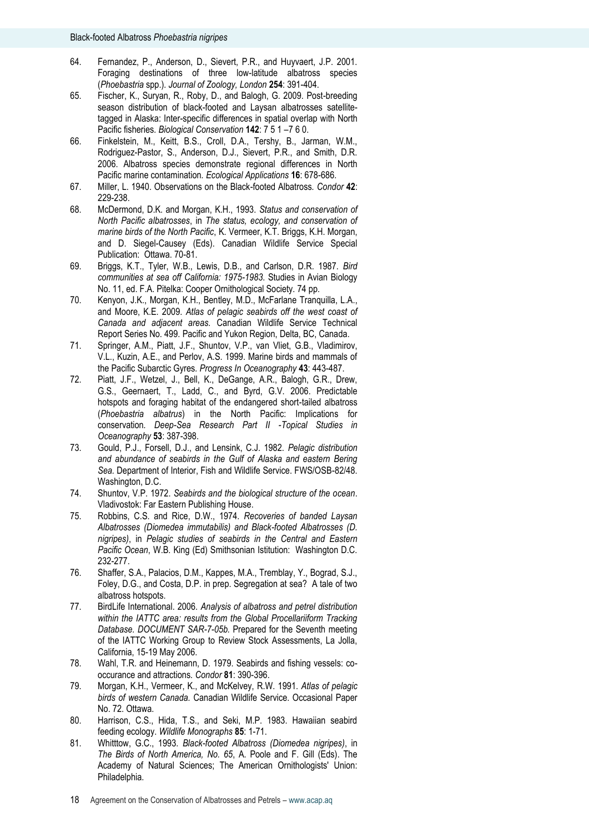- 64. Fernandez, P., Anderson, D., Sievert, P.R., and Huyvaert, J.P. 2001. Foraging destinations of three low-latitude albatross species (*Phoebastria* spp.)*. Journal of Zoology, London* **254**: 391-404.
- 65. Fischer, K., Suryan, R., Roby, D., and Balogh, G. 2009. Post-breeding season distribution of black-footed and Laysan albatrosses satellitetagged in Alaska: Inter-specific differences in spatial overlap with North Pacific fisheries*. Biological Conservation* **142**: 7 5 1 –7 6 0.
- 66. Finkelstein, M., Keitt, B.S., Croll, D.A., Tershy, B., Jarman, W.M., Rodriguez-Pastor, S., Anderson, D.J., Sievert, P.R., and Smith, D.R. 2006. Albatross species demonstrate regional differences in North Pacific marine contamination*. Ecological Applications* **16**: 678-686.
- 67. Miller, L. 1940. Observations on the Black-footed Albatross*. Condor* **42**: 229-238.
- 68. McDermond, D.K. and Morgan, K.H., 1993. *Status and conservation of North Pacific albatrosses*, in *The status, ecology, and conservation of marine birds of the North Pacific*, K. Vermeer, K.T. Briggs, K.H. Morgan, and D. Siegel-Causey (Eds). Canadian Wildlife Service Special Publication: Ottawa. 70-81.
- 69. Briggs, K.T., Tyler, W.B., Lewis, D.B., and Carlson, D.R. 1987. *Bird communities at sea off California: 1975-1983*. Studies in Avian Biology No. 11, ed. F.A. Pitelka: Cooper Ornithological Society. 74 pp.
- 70. Kenyon, J.K., Morgan, K.H., Bentley, M.D., McFarlane Tranquilla, L.A., and Moore, K.E. 2009. *Atlas of pelagic seabirds off the west coast of Canada and adjacent areas.* Canadian Wildlife Service Technical Report Series No. 499. Pacific and Yukon Region, Delta, BC, Canada.
- 71. Springer, A.M., Piatt, J.F., Shuntov, V.P., van Vliet, G.B., Vladimirov, V.L., Kuzin, A.E., and Perlov, A.S. 1999. Marine birds and mammals of the Pacific Subarctic Gyres*. Progress In Oceanography* **43**: 443-487.
- 72. Piatt, J.F., Wetzel, J., Bell, K., DeGange, A.R., Balogh, G.R., Drew, G.S., Geernaert, T., Ladd, C., and Byrd, G.V. 2006. Predictable hotspots and foraging habitat of the endangered short-tailed albatross (*Phoebastria albatrus*) in the North Pacific: Implications for conservation*. Deep-Sea Research Part II -Topical Studies in Oceanography* **53**: 387-398.
- 73. Gould, P.J., Forsell, D.J., and Lensink, C.J. 1982. *Pelagic distribution and abundance of seabirds in the Gulf of Alaska and eastern Bering Sea.* Department of Interior, Fish and Wildlife Service. FWS/OSB-82/48. Washington, D.C.
- 74. Shuntov, V.P. 1972. *Seabirds and the biological structure of the ocean*. Vladivostok: Far Eastern Publishing House.
- 75. Robbins, C.S. and Rice, D.W., 1974. *Recoveries of banded Laysan Albatrosses (Diomedea immutabilis) and Black-footed Albatrosses (D. nigripes)*, in *Pelagic studies of seabirds in the Central and Eastern Pacific Ocean*, W.B. King (Ed) Smithsonian Istitution: Washington D.C. 232-277.
- 76. Shaffer, S.A., Palacios, D.M., Kappes, M.A., Tremblay, Y., Bograd, S.J., Foley, D.G., and Costa, D.P. in prep. Segregation at sea? A tale of two albatross hotspots.
- 77. BirdLife International. 2006. *Analysis of albatross and petrel distribution within the IATTC area: results from the Global Procellariiform Tracking Database. DOCUMENT SAR-7-05b.* Prepared for the Seventh meeting of the IATTC Working Group to Review Stock Assessments, La Jolla, California, 15-19 May 2006.
- 78. Wahl, T.R. and Heinemann, D. 1979. Seabirds and fishing vessels: cooccurance and attractions*. Condor* **81**: 390-396.
- 79. Morgan, K.H., Vermeer, K., and McKelvey, R.W. 1991. *Atlas of pelagic birds of western Canada.* Canadian Wildlife Service. Occasional Paper No. 72. Ottawa.
- 80. Harrison, C.S., Hida, T.S., and Seki, M.P. 1983. Hawaiian seabird feeding ecology. *Wildlife Monographs* **85**: 1-71.
- 81. Whitttow, G.C., 1993. *Black-footed Albatross (Diomedea nigripes)*, in *The Birds of North America, No. 65*, A. Poole and F. Gill (Eds). The Academy of Natural Sciences; The American Ornithologists' Union: Philadelphia.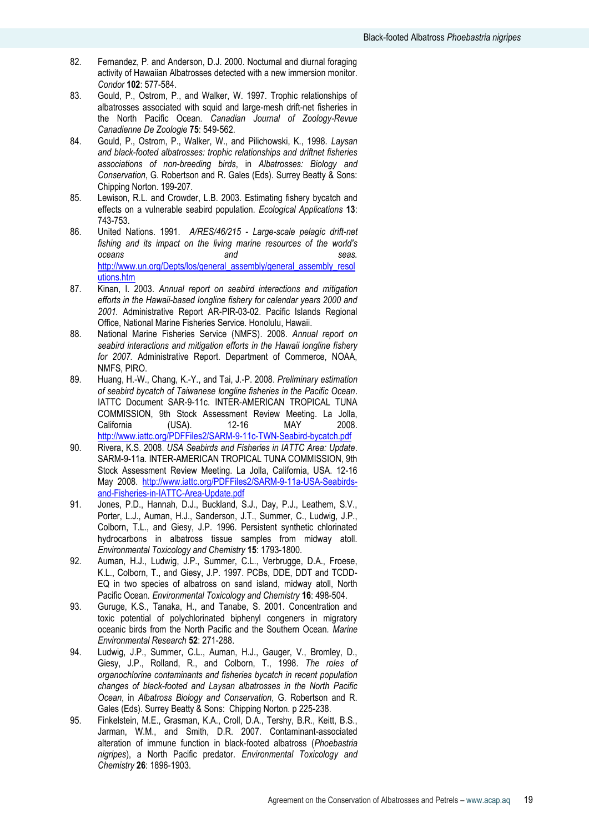- 82. Fernandez, P. and Anderson, D.J. 2000. Nocturnal and diurnal foraging activity of Hawaiian Albatrosses detected with a new immersion monitor*. Condor* **102**: 577-584.
- 83. Gould, P., Ostrom, P., and Walker, W. 1997. Trophic relationships of albatrosses associated with squid and large-mesh drift-net fisheries in the North Pacific Ocean*. Canadian Journal of Zoology-Revue Canadienne De Zoologie* **75**: 549-562.
- 84. Gould, P., Ostrom, P., Walker, W., and Pilichowski, K., 1998. *Laysan and black-footed albatrosses: trophic relationships and driftnet fisheries associations of non-breeding birds*, in *Albatrosses: Biology and Conservation*, G. Robertson and R. Gales (Eds). Surrey Beatty & Sons: Chipping Norton. 199-207.
- 85. Lewison, R.L. and Crowder, L.B. 2003. Estimating fishery bycatch and effects on a vulnerable seabird population*. Ecological Applications* **13**: 743-753.
- 86. United Nations. 1991. *A/RES/46/215 - Large-scale pelagic drift-net fishing and its impact on the living marine resources of the world's oceans and seas.*  [http://www.un.org/Depts/los/general\\_assembly/general\\_assembly\\_resol](http://www.un.org/Depts/los/general_assembly/general_assembly_resolutions.htm) [utions.htm](http://www.un.org/Depts/los/general_assembly/general_assembly_resolutions.htm)
- 87. Kinan, I. 2003. *Annual report on seabird interactions and mitigation efforts in the Hawaii-based longline fishery for calendar years 2000 and 2001.* Administrative Report AR-PIR-03-02. Pacific Islands Regional Office, National Marine Fisheries Service. Honolulu, Hawaii.
- 88. National Marine Fisheries Service (NMFS). 2008. *Annual report on seabird interactions and mitigation efforts in the Hawaii longline fishery for 2007.* Administrative Report. Department of Commerce, NOAA, NMFS, PIRO.
- 89. Huang, H.-W., Chang, K.-Y., and Tai, J.-P. 2008. *Preliminary estimation of seabird bycatch of Taiwanese longline fisheries in the Pacific Ocean*. IATTC Document SAR-9-11c. INTER-AMERICAN TROPICAL TUNA COMMISSION, 9th Stock Assessment Review Meeting. La Jolla, California (USA). 12-16 MAY 2008. <http://www.iattc.org/PDFFiles2/SARM-9-11c-TWN-Seabird-bycatch.pdf>
- 90. Rivera, K.S. 2008. *USA Seabirds and Fisheries in IATTC Area: Update*. SARM-9-11a. INTER-AMERICAN TROPICAL TUNA COMMISSION, 9th Stock Assessment Review Meeting. La Jolla, California, USA. 12-16 May 2008. [http://www.iattc.org/PDFFiles2/SARM-9-11a-USA-Seabirds](http://www.iattc.org/PDFFiles2/SARM-9-11a-USA-Seabirds-and-Fisheries-in-IATTC-Area-Update.pdf)[and-Fisheries-in-IATTC-Area-Update.pdf](http://www.iattc.org/PDFFiles2/SARM-9-11a-USA-Seabirds-and-Fisheries-in-IATTC-Area-Update.pdf)
- 91. Jones, P.D., Hannah, D.J., Buckland, S.J., Day, P.J., Leathem, S.V., Porter, L.J., Auman, H.J., Sanderson, J.T., Summer, C., Ludwig, J.P., Colborn, T.L., and Giesy, J.P. 1996. Persistent synthetic chlorinated hydrocarbons in albatross tissue samples from midway atoll*. Environmental Toxicology and Chemistry* **15**: 1793-1800.
- 92. Auman, H.J., Ludwig, J.P., Summer, C.L., Verbrugge, D.A., Froese, K.L., Colborn, T., and Giesy, J.P. 1997. PCBs, DDE, DDT and TCDD-EQ in two species of albatross on sand island, midway atoll, North Pacific Ocean*. Environmental Toxicology and Chemistry* **16**: 498-504.
- 93. Guruge, K.S., Tanaka, H., and Tanabe, S. 2001. Concentration and toxic potential of polychlorinated biphenyl congeners in migratory oceanic birds from the North Pacific and the Southern Ocean*. Marine Environmental Research* **52**: 271-288.
- 94. Ludwig, J.P., Summer, C.L., Auman, H.J., Gauger, V., Bromley, D., Giesy, J.P., Rolland, R., and Colborn, T., 1998. *The roles of organochlorine contaminants and fisheries bycatch in recent population changes of black-footed and Laysan albatrosses in the North Pacific Ocean*, in *Albatross Biology and Conservation*, G. Robertson and R. Gales (Eds). Surrey Beatty & Sons: Chipping Norton. p 225-238.
- 95. Finkelstein, M.E., Grasman, K.A., Croll, D.A., Tershy, B.R., Keitt, B.S., Jarman, W.M., and Smith, D.R. 2007. Contaminant-associated alteration of immune function in black-footed albatross (*Phoebastria nigripes*), a North Pacific predator*. Environmental Toxicology and Chemistry* **26**: 1896-1903.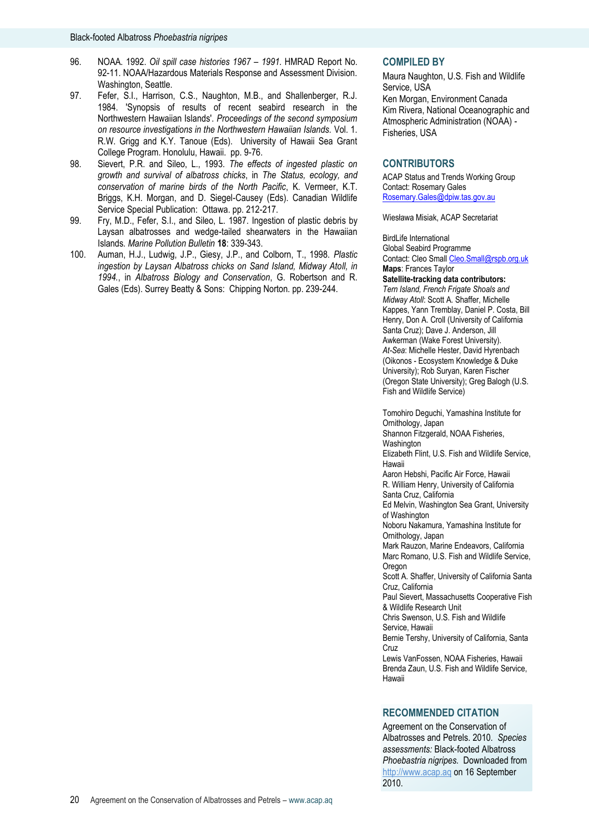- 96. NOAA. 1992. *Oil spill case histories 1967 – 1991.* HMRAD Report No. 92-11. NOAA/Hazardous Materials Response and Assessment Division. Washington, Seattle.
- 97. Fefer, S.I., Harrison, C.S., Naughton, M.B., and Shallenberger, R.J. 1984. 'Synopsis of results of recent seabird research in the Northwestern Hawaiian Islands'. *Proceedings of the second symposium on resource investigations in the Northwestern Hawaiian Islands.* Vol. 1. R.W. Grigg and K.Y. Tanoue (Eds). University of Hawaii Sea Grant College Program. Honolulu, Hawaii. pp. 9-76.
- 98. Sievert, P.R. and Sileo, L., 1993. *The effects of ingested plastic on growth and survival of albatross chicks*, in *The Status, ecology, and conservation of marine birds of the North Pacific*, K. Vermeer, K.T. Briggs, K.H. Morgan, and D. Siegel-Causey (Eds). Canadian Wildlife Service Special Publication: Ottawa. pp. 212-217.
- 99. Fry, M.D., Fefer, S.I., and Sileo, L. 1987. Ingestion of plastic debris by Laysan albatrosses and wedge-tailed shearwaters in the Hawaiian Islands*. Marine Pollution Bulletin* **18**: 339-343.
- 100. Auman, H.J., Ludwig, J.P., Giesy, J.P., and Colborn, T., 1998. *Plastic ingestion by Laysan Albatross chicks on Sand Island, Midway Atoll, in 1994.*, in *Albatross Biology and Conservation*, G. Robertson and R. Gales (Eds). Surrey Beatty & Sons: Chipping Norton. pp. 239-244.

#### **COMPILED BY**

Maura Naughton, U.S. Fish and Wildlife Service, USA Ken Morgan, Environment Canada Kim Rivera, National Oceanographic and Atmospheric Administration (NOAA) - Fisheries, USA

#### **CONTRIBUTORS**

ACAP Status and Trends Working Group Contact: Rosemary Gales Rosemary.Gales@dpiw.tas.gov.au

Wiesława Misiak, ACAP Secretariat

BirdLife International Global Seabird Programme Contact: Cleo Smal[l Cleo.Small@rspb.org.uk](mailto:Cleo.Small@rspb.org.uk) **Maps**: Frances Taylor

**Satellite-tracking data contributors:**  *Tern Island, French Frigate Shoals and Midway Atoll*: Scott A. Shaffer, Michelle Kappes, Yann Tremblay, Daniel P. Costa, Bill Henry, Don A. Croll (University of California Santa Cruz); Dave J. Anderson, Jill Awkerman (Wake Forest University). *At-Sea*: Michelle Hester, David Hyrenbach (Oikonos - Ecosystem Knowledge & Duke University); Rob Suryan, Karen Fischer (Oregon State University); Greg Balogh (U.S. Fish and Wildlife Service)

Tomohiro Deguchi, Yamashina Institute for Ornithology, Japan

Shannon Fitzgerald, NOAA Fisheries,

**Washington** Elizabeth Flint, U.S. Fish and Wildlife Service,

Hawaii

Aaron Hebshi, Pacific Air Force, Hawaii R. William Henry, University of California Santa Cruz, California

Ed Melvin, Washington Sea Grant, University of Washington

Noboru Nakamura, Yamashina Institute for Ornithology, Japan

Mark Rauzon, Marine Endeavors, California Marc Romano, U.S. Fish and Wildlife Service, Oregon

Scott A. Shaffer, University of California Santa Cruz, California

Paul Sievert, Massachusetts Cooperative Fish & Wildlife Research Unit

Chris Swenson, U.S. Fish and Wildlife Service, Hawaii

Bernie Tershy, University of California, Santa Cruz

Lewis VanFossen, NOAA Fisheries, Hawaii Brenda Zaun, U.S. Fish and Wildlife Service, Hawaii

#### **RECOMMENDED CITATION**

Agreement on the Conservation of Albatrosses and Petrels. 2010*. Species assessments:* Black-footed Albatross *Phoebastria nigripes.* Downloaded from [http://www.acap.aq](http://www.acap.aq/) on 16 September 2010.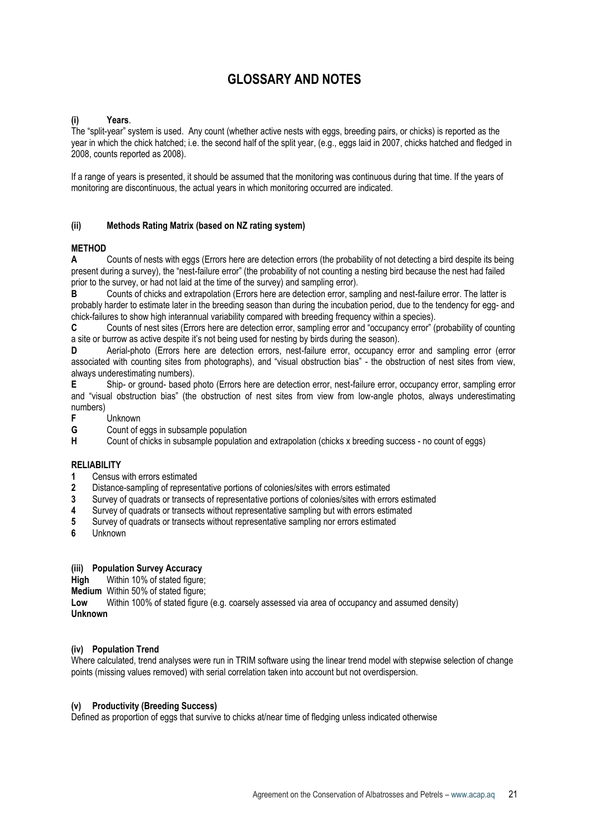# **GLOSSARY AND NOTES**

# **(i) Years**.

The "split-year" system is used. Any count (whether active nests with eggs, breeding pairs, or chicks) is reported as the year in which the chick hatched; i.e. the second half of the split year, (e.g., eggs laid in 2007, chicks hatched and fledged in 2008, counts reported as 2008).

If a range of years is presented, it should be assumed that the monitoring was continuous during that time. If the years of monitoring are discontinuous, the actual years in which monitoring occurred are indicated.

# **(ii) Methods Rating Matrix (based on NZ rating system)**

#### **METHOD**

**A** Counts of nests with eggs (Errors here are detection errors (the probability of not detecting a bird despite its being present during a survey), the "nest-failure error" (the probability of not counting a nesting bird because the nest had failed prior to the survey, or had not laid at the time of the survey) and sampling error).

**B** Counts of chicks and extrapolation (Errors here are detection error, sampling and nest-failure error. The latter is probably harder to estimate later in the breeding season than during the incubation period, due to the tendency for egg- and chick-failures to show high interannual variability compared with breeding frequency within a species).

**C** Counts of nest sites (Errors here are detection error, sampling error and "occupancy error" (probability of counting a site or burrow as active despite it's not being used for nesting by birds during the season).

**D** Aerial-photo (Errors here are detection errors, nest-failure error, occupancy error and sampling error (error associated with counting sites from photographs), and "visual obstruction bias" - the obstruction of nest sites from view, always underestimating numbers).

**E** Ship- or ground- based photo (Errors here are detection error, nest-failure error, occupancy error, sampling error and "visual obstruction bias" (the obstruction of nest sites from view from low-angle photos, always underestimating numbers)

**F** Unknown

**G** Count of eggs in subsample population

**H** Count of chicks in subsample population and extrapolation (chicks x breeding success - no count of eggs)

#### **RELIABILITY**

- **1** Census with errors estimated
- **2** Distance-sampling of representative portions of colonies/sites with errors estimated
- **3** Survey of quadrats or transects of representative portions of colonies/sites with errors estimated
- **4** Survey of quadrats or transects without representative sampling but with errors estimated
- **5** Survey of quadrats or transects without representative sampling nor errors estimated
- **6** Unknown

#### **(iii) Population Survey Accuracy**

**High** Within 10% of stated figure:

**Medium** Within 50% of stated figure:

**Low** Within 100% of stated figure (e.g. coarsely assessed via area of occupancy and assumed density) **Unknown**

#### **(iv) Population Trend**

Where calculated, trend analyses were run in TRIM software using the linear trend model with stepwise selection of change points (missing values removed) with serial correlation taken into account but not overdispersion.

#### **(v) Productivity (Breeding Success)**

Defined as proportion of eggs that survive to chicks at/near time of fledging unless indicated otherwise